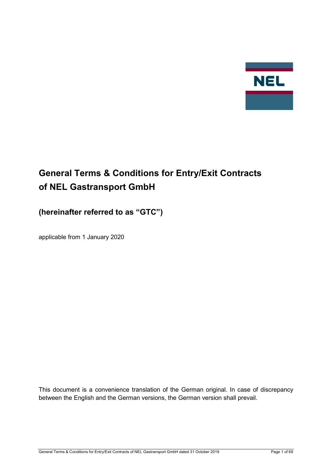

# **General Terms & Conditions for Entry/Exit Contracts of NEL Gastransport GmbH**

## **(hereinafter referred to as "GTC")**

applicable from 1 January 2020

This document is a convenience translation of the German original. In case of discrepancy between the English and the German versions, the German version shall prevail.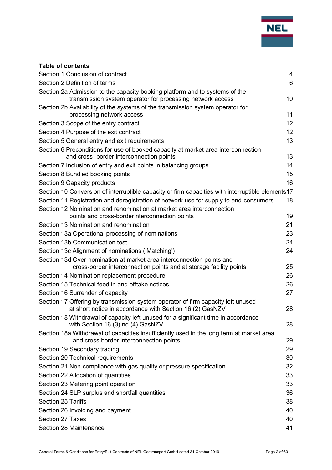

## **Table of contents**

| Section 1 Conclusion of contract                                                                                                             | $\overline{4}$  |
|----------------------------------------------------------------------------------------------------------------------------------------------|-----------------|
| Section 2 Definition of terms                                                                                                                | $6\phantom{1}6$ |
| Section 2a Admission to the capacity booking platform and to systems of the                                                                  |                 |
| transmission system operator for processing network access                                                                                   | 10              |
| Section 2b Availability of the systems of the transmission system operator for                                                               |                 |
| processing network access                                                                                                                    | 11              |
| Section 3 Scope of the entry contract                                                                                                        | 12              |
| Section 4 Purpose of the exit contract                                                                                                       | 12              |
| Section 5 General entry and exit requirements                                                                                                | 13              |
| Section 6 Preconditions for use of booked capacity at market area interconnection<br>and cross- border interconnection points                | 13              |
| Section 7 Inclusion of entry and exit points in balancing groups                                                                             | 14              |
| Section 8 Bundled booking points                                                                                                             | 15              |
| Section 9 Capacity products                                                                                                                  | 16              |
| Section 10 Conversion of interruptible capacity or firm capacities with interruptible elements17                                             |                 |
| Section 11 Registration and deregistration of network use for supply to end-consumers                                                        | 18              |
| Section 12 Nomination and renomination at market area interconnection<br>points and cross-border nterconnection points                       | 19              |
| Section 13 Nomination and renomination                                                                                                       | 21              |
| Section 13a Operational processing of nominations                                                                                            | 23              |
| Section 13b Communication test                                                                                                               | 24              |
| Section 13c Alignment of nominations ('Matching')                                                                                            | 24              |
| Section 13d Over-nomination at market area interconnection points and                                                                        |                 |
| cross-border interconnection points and at storage facility points                                                                           | 25              |
| Section 14 Nomination replacement procedure                                                                                                  | 26              |
| Section 15 Technical feed in and offtake notices                                                                                             | 26              |
| Section 16 Surrender of capacity                                                                                                             | 27              |
| Section 17 Offering by transmission system operator of firm capacity left unused<br>at short notice in accordance with Section 16 (2) GasNZV | 28              |
| Section 18 Withdrawal of capacity left unused for a significant time in accordance<br>with Section 16 (3) nd (4) GasNZV                      | 28              |
| Section 18a Withdrawal of capacities insufficiently used in the long term at market area<br>and cross border interconnection points          | 29              |
| Section 19 Secondary trading                                                                                                                 | 29              |
| Section 20 Technical requirements                                                                                                            | 30              |
| Section 21 Non-compliance with gas quality or pressure specification                                                                         | 32              |
| Section 22 Allocation of quantities                                                                                                          | 33              |
| Section 23 Metering point operation                                                                                                          | 33              |
| Section 24 SLP surplus and shortfall quantities                                                                                              | 36              |
| <b>Section 25 Tariffs</b>                                                                                                                    | 38              |
| Section 26 Invoicing and payment                                                                                                             | 40              |
| Section 27 Taxes                                                                                                                             | 40              |
| Section 28 Maintenance                                                                                                                       | 41              |
|                                                                                                                                              |                 |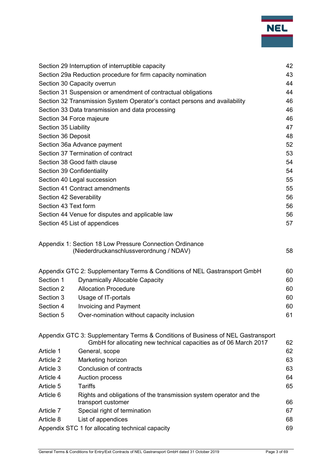

|                                                                            | Section 29 Interruption of interruptible capacity                                                                                                    | 42 |  |  |  |
|----------------------------------------------------------------------------|------------------------------------------------------------------------------------------------------------------------------------------------------|----|--|--|--|
|                                                                            | Section 29a Reduction procedure for firm capacity nomination                                                                                         |    |  |  |  |
|                                                                            | Section 30 Capacity overrun                                                                                                                          |    |  |  |  |
| Section 31 Suspension or amendment of contractual obligations              |                                                                                                                                                      |    |  |  |  |
| Section 32 Transmission System Operator's contact persons and availability |                                                                                                                                                      |    |  |  |  |
| Section 33 Data transmission and data processing                           |                                                                                                                                                      |    |  |  |  |
| Section 34 Force majeure                                                   |                                                                                                                                                      |    |  |  |  |
| Section 35 Liability                                                       |                                                                                                                                                      |    |  |  |  |
| Section 36 Deposit                                                         |                                                                                                                                                      |    |  |  |  |
| Section 36a Advance payment                                                |                                                                                                                                                      |    |  |  |  |
| Section 37 Termination of contract<br>53                                   |                                                                                                                                                      |    |  |  |  |
| Section 38 Good faith clause                                               |                                                                                                                                                      |    |  |  |  |
|                                                                            | Section 39 Confidentiality                                                                                                                           | 54 |  |  |  |
|                                                                            | Section 40 Legal succession                                                                                                                          | 55 |  |  |  |
|                                                                            | Section 41 Contract amendments                                                                                                                       | 55 |  |  |  |
| Section 42 Severability                                                    |                                                                                                                                                      | 56 |  |  |  |
| Section 43 Text form                                                       |                                                                                                                                                      | 56 |  |  |  |
|                                                                            | Section 44 Venue for disputes and applicable law                                                                                                     | 56 |  |  |  |
|                                                                            | Section 45 List of appendices                                                                                                                        | 57 |  |  |  |
|                                                                            | Appendix 1: Section 18 Low Pressure Connection Ordinance                                                                                             |    |  |  |  |
|                                                                            | (Niederdruckanschlussverordnung / NDAV)                                                                                                              | 58 |  |  |  |
|                                                                            | Appendix GTC 2: Supplementary Terms & Conditions of NEL Gastransport GmbH                                                                            | 60 |  |  |  |
| Section 1                                                                  | <b>Dynamically Allocable Capacity</b>                                                                                                                | 60 |  |  |  |
| Section 2                                                                  | <b>Allocation Procedure</b>                                                                                                                          | 60 |  |  |  |
| Section 3                                                                  | Usage of IT-portals                                                                                                                                  | 60 |  |  |  |
| Section 4                                                                  | <b>Invoicing and Payment</b>                                                                                                                         | 60 |  |  |  |
| Section 5                                                                  | Over-nomination without capacity inclusion                                                                                                           | 61 |  |  |  |
|                                                                            | Appendix GTC 3: Supplementary Terms & Conditions of Business of NEL Gastransport<br>GmbH for allocating new technical capacities as of 06 March 2017 | 62 |  |  |  |
| Article 1                                                                  | General, scope                                                                                                                                       | 62 |  |  |  |
| Article 2                                                                  | Marketing horizon                                                                                                                                    | 63 |  |  |  |
| Article 3                                                                  | Conclusion of contracts                                                                                                                              | 63 |  |  |  |
| Article 4                                                                  | Auction process                                                                                                                                      | 64 |  |  |  |
| Article 5                                                                  | Tariffs                                                                                                                                              | 65 |  |  |  |
| Article 6                                                                  | Rights and obligations of the transmission system operator and the                                                                                   |    |  |  |  |
|                                                                            | transport customer                                                                                                                                   | 66 |  |  |  |
| Article 7                                                                  | Special right of termination                                                                                                                         | 67 |  |  |  |
| List of appendices<br>Article 8                                            |                                                                                                                                                      |    |  |  |  |
| Appendix STC 1 for allocating technical capacity<br>69                     |                                                                                                                                                      |    |  |  |  |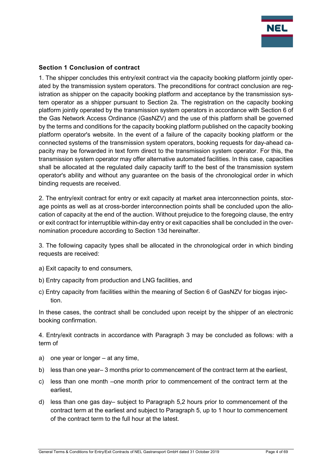

## <span id="page-3-0"></span>**Section 1 Conclusion of contract**

1. The shipper concludes this entry/exit contract via the capacity booking platform jointly operated by the transmission system operators. The preconditions for contract conclusion are registration as shipper on the capacity booking platform and acceptance by the transmission system operator as a shipper pursuant to Section 2a. The registration on the capacity booking platform jointly operated by the transmission system operators in accordance with Section 6 of the Gas Network Access Ordinance (GasNZV) and the use of this platform shall be governed by the terms and conditions for the capacity booking platform published on the capacity booking platform operator's website. In the event of a failure of the capacity booking platform or the connected systems of the transmission system operators, booking requests for day-ahead capacity may be forwarded in text form direct to the transmission system operator. For this, the transmission system operator may offer alternative automated facilities. In this case, capacities shall be allocated at the regulated daily capacity tariff to the best of the transmission system operator's ability and without any guarantee on the basis of the chronological order in which binding requests are received.

2. The entry/exit contract for entry or exit capacity at market area interconnection points, storage points as well as at cross-border interconnection points shall be concluded upon the allocation of capacity at the end of the auction. Without prejudice to the foregoing clause, the entry or exit contract for interruptible within-day entry or exit capacities shall be concluded in the overnomination procedure according to Section 13d hereinafter.

3. The following capacity types shall be allocated in the chronological order in which binding requests are received:

- a) Exit capacity to end consumers,
- b) Entry capacity from production and LNG facilities, and
- c) Entry capacity from facilities within the meaning of Section 6 of GasNZV for biogas injection.

In these cases, the contract shall be concluded upon receipt by the shipper of an electronic booking confirmation.

4. Entry/exit contracts in accordance with Paragraph 3 may be concluded as follows: with a term of

- a) one year or longer at any time,
- b) less than one year– 3 months prior to commencement of the contract term at the earliest,
- c) less than one month –one month prior to commencement of the contract term at the earliest,
- d) less than one gas day– subject to Paragraph 5,2 hours prior to commencement of the contract term at the earliest and subject to Paragraph 5, up to 1 hour to commencement of the contract term to the full hour at the latest.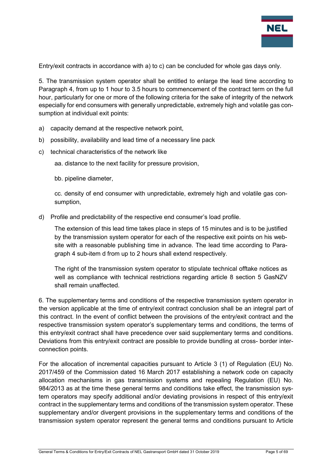

Entry/exit contracts in accordance with a) to c) can be concluded for whole gas days only.

5. The transmission system operator shall be entitled to enlarge the lead time according to Paragraph 4, from up to 1 hour to 3.5 hours to commencement of the contract term on the full hour, particularly for one or more of the following criteria for the sake of integrity of the network especially for end consumers with generally unpredictable, extremely high and volatile gas consumption at individual exit points:

- a) capacity demand at the respective network point,
- b) possibility, availability and lead time of a necessary line pack
- c) technical characteristics of the network like

aa. distance to the next facility for pressure provision,

bb. pipeline diameter,

cc. density of end consumer with unpredictable, extremely high and volatile gas consumption,

d) Profile and predictability of the respective end consumer's load profile.

The extension of this lead time takes place in steps of 15 minutes and is to be justified by the transmission system operator for each of the respective exit points on his website with a reasonable publishing time in advance. The lead time according to Paragraph 4 sub-item d from up to 2 hours shall extend respectively.

The right of the transmission system operator to stipulate technical offtake notices as well as compliance with technical restrictions regarding article 8 section 5 GasNZV shall remain unaffected.

6. The supplementary terms and conditions of the respective transmission system operator in the version applicable at the time of entry/exit contract conclusion shall be an integral part of this contract. In the event of conflict between the provisions of the entry/exit contract and the respective transmission system operator's supplementary terms and conditions, the terms of this entry/exit contract shall have precedence over said supplementary terms and conditions. Deviations from this entry/exit contract are possible to provide bundling at cross- border interconnection points.

For the allocation of incremental capacities pursuant to Article 3 (1) of Regulation (EU) No. 2017/459 of the Commission dated 16 March 2017 establishing a network code on capacity allocation mechanisms in gas transmission systems and repealing Regulation (EU) No. 984/2013 as at the time these general terms and conditions take effect, the transmission system operators may specify additional and/or deviating provisions in respect of this entry/exit contract in the supplementary terms and conditions of the transmission system operator. These supplementary and/or divergent provisions in the supplementary terms and conditions of the transmission system operator represent the general terms and conditions pursuant to Article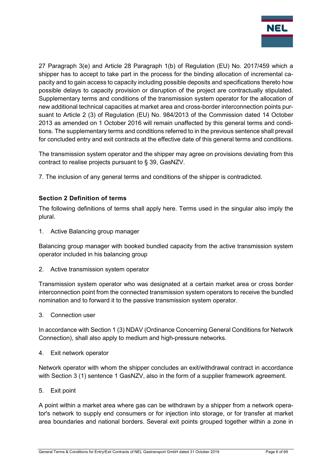

27 Paragraph 3(e) and Article 28 Paragraph 1(b) of Regulation (EU) No. 2017/459 which a shipper has to accept to take part in the process for the binding allocation of incremental capacity and to gain access to capacity including possible deposits and specifications thereto how possible delays to capacity provision or disruption of the project are contractually stipulated. Supplementary terms and conditions of the transmission system operator for the allocation of new additional technical capacities at market area and cross-border interconnection points pursuant to Article 2 (3) of Regulation (EU) No. 984/2013 of the Commission dated 14 October 2013 as amended on 1 October 2016 will remain unaffected by this general terms and conditions. The supplementary terms and conditions referred to in the previous sentence shall prevail for concluded entry and exit contracts at the effective date of this general terms and conditions.

The transmission system operator and the shipper may agree on provisions deviating from this contract to realise projects pursuant to § 39, GasNZV.

7. The inclusion of any general terms and conditions of the shipper is contradicted.

## <span id="page-5-0"></span>**Section 2 Definition of terms**

The following definitions of terms shall apply here. Terms used in the singular also imply the plural.

1. Active Balancing group manager

Balancing group manager with booked bundled capacity from the active transmission system operator included in his balancing group

2. Active transmission system operator

Transmission system operator who was designated at a certain market area or cross border interconnection point from the connected transmission system operators to receive the bundled nomination and to forward it to the passive transmission system operator.

3. Connection user

In accordance with Section 1 (3) NDAV (Ordinance Concerning General Conditions for Network Connection), shall also apply to medium and high-pressure networks.

4. Exit network operator

Network operator with whom the shipper concludes an exit/withdrawal contract in accordance with Section 3 (1) sentence 1 GasNZV, also in the form of a supplier framework agreement.

5. Exit point

A point within a market area where gas can be withdrawn by a shipper from a network operator's network to supply end consumers or for injection into storage, or for transfer at market area boundaries and national borders. Several exit points grouped together within a zone in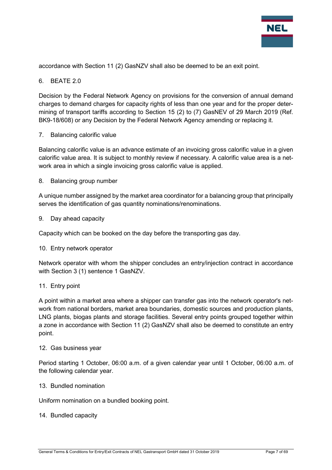

accordance with Section 11 (2) GasNZV shall also be deemed to be an exit point.

#### 6. BEATE 2.0

Decision by the Federal Network Agency on provisions for the conversion of annual demand charges to demand charges for capacity rights of less than one year and for the proper determining of transport tariffs according to Section 15 (2) to (7) GasNEV of 29 March 2019 (Ref. BK9-18/608) or any Decision by the Federal Network Agency amending or replacing it.

#### 7. Balancing calorific value

Balancing calorific value is an advance estimate of an invoicing gross calorific value in a given calorific value area. It is subject to monthly review if necessary. A calorific value area is a network area in which a single invoicing gross calorific value is applied.

8. Balancing group number

A unique number assigned by the market area coordinator for a balancing group that principally serves the identification of gas quantity nominations/renominations.

9. Day ahead capacity

Capacity which can be booked on the day before the transporting gas day.

10. Entry network operator

Network operator with whom the shipper concludes an entry/injection contract in accordance with Section 3 (1) sentence 1 GasNZV.

#### 11. Entry point

A point within a market area where a shipper can transfer gas into the network operator's network from national borders, market area boundaries, domestic sources and production plants, LNG plants, biogas plants and storage facilities. Several entry points grouped together within a zone in accordance with Section 11 (2) GasNZV shall also be deemed to constitute an entry point.

#### 12. Gas business year

Period starting 1 October, 06:00 a.m. of a given calendar year until 1 October, 06:00 a.m. of the following calendar year.

13. Bundled nomination

Uniform nomination on a bundled booking point.

#### 14. Bundled capacity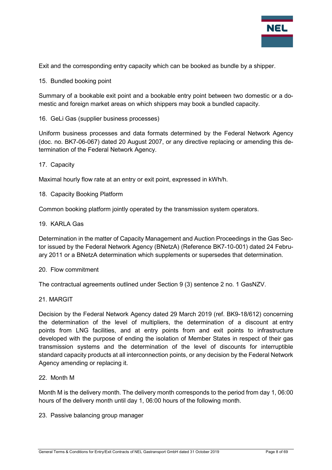

Exit and the corresponding entry capacity which can be booked as bundle by a shipper.

15. Bundled booking point

Summary of a bookable exit point and a bookable entry point between two domestic or a domestic and foreign market areas on which shippers may book a bundled capacity.

16. GeLi Gas (supplier business processes)

Uniform business processes and data formats determined by the Federal Network Agency (doc. no. BK7-06-067) dated 20 August 2007, or any directive replacing or amending this determination of the Federal Network Agency.

17. Capacity

Maximal hourly flow rate at an entry or exit point, expressed in kWh/h.

18. Capacity Booking Platform

Common booking platform jointly operated by the transmission system operators.

#### 19. KARLA Gas

Determination in the matter of Capacity Management and Auction Proceedings in the Gas Sector issued by the Federal Network Agency (BNetzA) (Reference BK7-10-001) dated 24 February 2011 or a BNetzA determination which supplements or supersedes that determination.

#### 20. Flow commitment

The contractual agreements outlined under Section 9 (3) sentence 2 no. 1 GasNZV.

#### 21. MARGIT

Decision by the Federal Network Agency dated 29 March 2019 (ref. BK9-18/612) concerning the determination of the level of multipliers, the determination of a discount at entry points from LNG facilities, and at entry points from and exit points to infrastructure developed with the purpose of ending the isolation of Member States in respect of their gas transmission systems and the determination of the level of discounts for interruptible standard capacity products at all interconnection points, or any decision by the Federal Network Agency amending or replacing it.

#### 22. Month M

Month M is the delivery month. The delivery month corresponds to the period from day 1, 06:00 hours of the delivery month until day 1, 06:00 hours of the following month.

23. Passive balancing group manager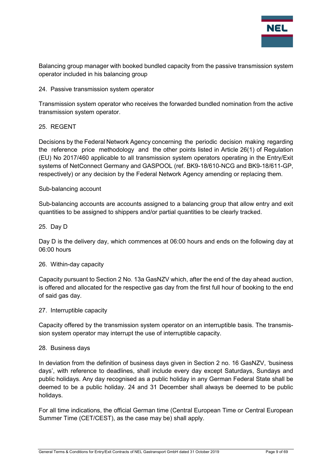

Balancing group manager with booked bundled capacity from the passive transmission system operator included in his balancing group

#### 24. Passive transmission system operator

Transmission system operator who receives the forwarded bundled nomination from the active transmission system operator.

#### 25. REGENT

Decisions by the Federal Network Agency concerning the periodic decision making regarding the reference price methodology and the other points listed in Article 26(1) of Regulation (EU) No 2017/460 applicable to all transmission system operators operating in the Entry/Exit systems of NetConnect Germany and GASPOOL (ref. BK9-18/610-NCG and BK9-18/611-GP, respectively) or any decision by the Federal Network Agency amending or replacing them.

#### Sub-balancing account

Sub-balancing accounts are accounts assigned to a balancing group that allow entry and exit quantities to be assigned to shippers and/or partial quantities to be clearly tracked.

#### 25. Day D

Day D is the delivery day, which commences at 06:00 hours and ends on the following day at 06:00 hours

#### 26. Within-day capacity

Capacity pursuant to Section 2 No. 13a GasNZV which, after the end of the day ahead auction, is offered and allocated for the respective gas day from the first full hour of booking to the end of said gas day.

#### 27. Interruptible capacity

Capacity offered by the transmission system operator on an interruptible basis. The transmission system operator may interrupt the use of interruptible capacity.

#### 28. Business days

In deviation from the definition of business days given in Section 2 no. 16 GasNZV, 'business days', with reference to deadlines, shall include every day except Saturdays, Sundays and public holidays. Any day recognised as a public holiday in any German Federal State shall be deemed to be a public holiday. 24 and 31 December shall always be deemed to be public holidays.

For all time indications, the official German time (Central European Time or Central European Summer Time (CET/CEST), as the case may be) shall apply.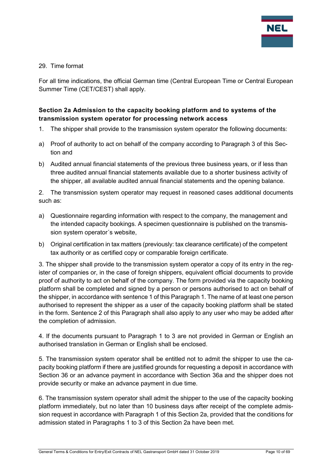

#### 29. Time format

For all time indications, the official German time (Central European Time or Central European Summer Time (CET/CEST) shall apply.

## <span id="page-9-0"></span>**Section 2a Admission to the capacity booking platform and to systems of the transmission system operator for processing network access**

- 1. The shipper shall provide to the transmission system operator the following documents:
- a) Proof of authority to act on behalf of the company according to Paragraph 3 of this Section and
- b) Audited annual financial statements of the previous three business years, or if less than three audited annual financial statements available due to a shorter business activity of the shipper, all available audited annual financial statements and the opening balance.

2. The transmission system operator may request in reasoned cases additional documents such as:

- a) Questionnaire regarding information with respect to the company, the management and the intended capacity bookings. A specimen questionnaire is published on the transmission system operator´s website,
- b) Original certification in tax matters (previously: tax clearance certificate) of the competent tax authority or as certified copy or comparable foreign certificate.

3. The shipper shall provide to the transmission system operator a copy of its entry in the register of companies or, in the case of foreign shippers, equivalent official documents to provide proof of authority to act on behalf of the company. The form provided via the capacity booking platform shall be completed and signed by a person or persons authorised to act on behalf of the shipper, in accordance with sentence 1 of this Paragraph 1. The name of at least one person authorised to represent the shipper as a user of the capacity booking platform shall be stated in the form. Sentence 2 of this Paragraph shall also apply to any user who may be added after the completion of admission.

4. If the documents pursuant to Paragraph 1 to 3 are not provided in German or English an authorised translation in German or English shall be enclosed.

5. The transmission system operator shall be entitled not to admit the shipper to use the capacity booking platform if there are justified grounds for requesting a deposit in accordance with Section 36 or an advance payment in accordance with Section 36a and the shipper does not provide security or make an advance payment in due time.

6. The transmission system operator shall admit the shipper to the use of the capacity booking platform immediately, but no later than 10 business days after receipt of the complete admission request in accordance with Paragraph 1 of this Section 2a, provided that the conditions for admission stated in Paragraphs 1 to 3 of this Section 2a have been met.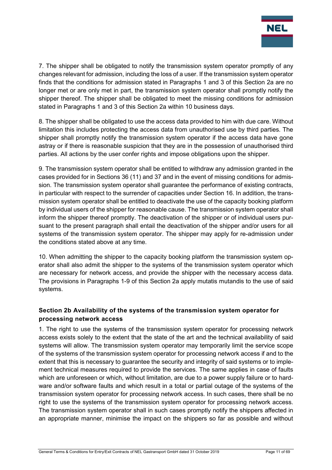

7. The shipper shall be obligated to notify the transmission system operator promptly of any changes relevant for admission, including the loss of a user. If the transmission system operator finds that the conditions for admission stated in Paragraphs 1 and 3 of this Section 2a are no longer met or are only met in part, the transmission system operator shall promptly notify the shipper thereof. The shipper shall be obligated to meet the missing conditions for admission stated in Paragraphs 1 and 3 of this Section 2a within 10 business days.

8. The shipper shall be obligated to use the access data provided to him with due care. Without limitation this includes protecting the access data from unauthorised use by third parties. The shipper shall promptly notify the transmission system operator if the access data have gone astray or if there is reasonable suspicion that they are in the possession of unauthorised third parties. All actions by the user confer rights and impose obligations upon the shipper.

9. The transmission system operator shall be entitled to withdraw any admission granted in the cases provided for in Sections 36 (11) and 37 and in the event of missing conditions for admission. The transmission system operator shall guarantee the performance of existing contracts, in particular with respect to the surrender of capacities under Section 16. In addition, the transmission system operator shall be entitled to deactivate the use of the capacity booking platform by individual users of the shipper for reasonable cause. The transmission system operator shall inform the shipper thereof promptly. The deactivation of the shipper or of individual users pursuant to the present paragraph shall entail the deactivation of the shipper and/or users for all systems of the transmission system operator. The shipper may apply for re-admission under the conditions stated above at any time.

10. When admitting the shipper to the capacity booking platform the transmission system operator shall also admit the shipper to the systems of the transmission system operator which are necessary for network access, and provide the shipper with the necessary access data. The provisions in Paragraphs 1-9 of this Section 2a apply mutatis mutandis to the use of said systems.

## <span id="page-10-0"></span>**Section 2b Availability of the systems of the transmission system operator for processing network access**

1. The right to use the systems of the transmission system operator for processing network access exists solely to the extent that the state of the art and the technical availability of said systems will allow. The transmission system operator may temporarily limit the service scope of the systems of the transmission system operator for processing network access if and to the extent that this is necessary to guarantee the security and integrity of said systems or to implement technical measures required to provide the services. The same applies in case of faults which are unforeseen or which, without limitation, are due to a power supply failure or to hardware and/or software faults and which result in a total or partial outage of the systems of the transmission system operator for processing network access. In such cases, there shall be no right to use the systems of the transmission system operator for processing network access. The transmission system operator shall in such cases promptly notify the shippers affected in an appropriate manner, minimise the impact on the shippers so far as possible and without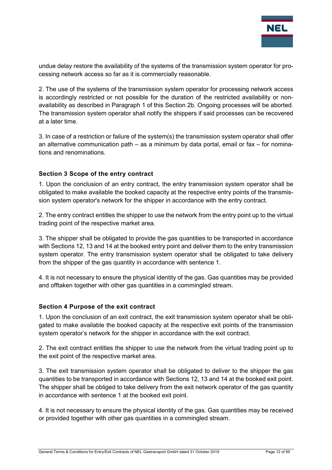

undue delay restore the availability of the systems of the transmission system operator for processing network access so far as it is commercially reasonable.

2. The use of the systems of the transmission system operator for processing network access is accordingly restricted or not possible for the duration of the restricted availability or nonavailability as described in Paragraph 1 of this Section 2b. Ongoing processes will be aborted. The transmission system operator shall notify the shippers if said processes can be recovered at a later time.

3. In case of a restriction or failure of the system(s) the transmission system operator shall offer an alternative communication path – as a minimum by data portal, email or fax – for nominations and renominations.

## <span id="page-11-0"></span>**Section 3 Scope of the entry contract**

1. Upon the conclusion of an entry contract, the entry transmission system operator shall be obligated to make available the booked capacity at the respective entry points of the transmission system operator's network for the shipper in accordance with the entry contract.

2. The entry contract entitles the shipper to use the network from the entry point up to the virtual trading point of the respective market area.

3. The shipper shall be obligated to provide the gas quantities to be transported in accordance with Sections 12, 13 and 14 at the booked entry point and deliver them to the entry transmission system operator. The entry transmission system operator shall be obligated to take delivery from the shipper of the gas quantity in accordance with sentence 1.

4. It is not necessary to ensure the physical identity of the gas. Gas quantities may be provided and offtaken together with other gas quantities in a commingled stream.

#### <span id="page-11-1"></span>**Section 4 Purpose of the exit contract**

1. Upon the conclusion of an exit contract, the exit transmission system operator shall be obligated to make available the booked capacity at the respective exit points of the transmission system operator's network for the shipper in accordance with the exit contract.

2. The exit contract entitles the shipper to use the network from the virtual trading point up to the exit point of the respective market area.

3. The exit transmission system operator shall be obligated to deliver to the shipper the gas quantities to be transported in accordance with Sections 12, 13 and 14 at the booked exit point. The shipper shall be obliged to take delivery from the exit network operator of the gas quantity in accordance with sentence 1 at the booked exit point.

4. It is not necessary to ensure the physical identity of the gas. Gas quantities may be received or provided together with other gas quantities in a commingled stream.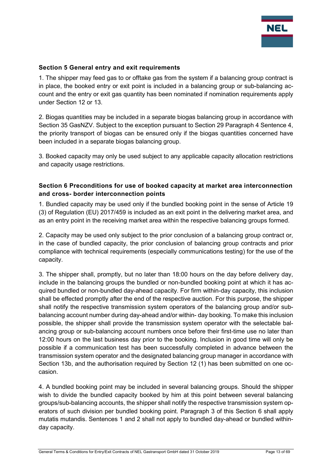

#### <span id="page-12-0"></span>**Section 5 General entry and exit requirements**

1. The shipper may feed gas to or offtake gas from the system if a balancing group contract is in place, the booked entry or exit point is included in a balancing group or sub-balancing account and the entry or exit gas quantity has been nominated if nomination requirements apply under Section 12 or 13.

2. Biogas quantities may be included in a separate biogas balancing group in accordance with Section 35 GasNZV. Subject to the exception pursuant to Section 29 Paragraph 4 Sentence 4, the priority transport of biogas can be ensured only if the biogas quantities concerned have been included in a separate biogas balancing group.

3. Booked capacity may only be used subject to any applicable capacity allocation restrictions and capacity usage restrictions.

#### <span id="page-12-1"></span>**Section 6 Preconditions for use of booked capacity at market area interconnection and cross- border interconnection points**

1. Bundled capacity may be used only if the bundled booking point in the sense of Article 19 (3) of Regulation (EU) 2017/459 is included as an exit point in the delivering market area, and as an entry point in the receiving market area within the respective balancing groups formed.

2. Capacity may be used only subject to the prior conclusion of a balancing group contract or, in the case of bundled capacity, the prior conclusion of balancing group contracts and prior compliance with technical requirements (especially communications testing) for the use of the capacity.

3. The shipper shall, promptly, but no later than 18:00 hours on the day before delivery day, include in the balancing groups the bundled or non-bundled booking point at which it has acquired bundled or non-bundled day-ahead capacity. For firm within-day capacity, this inclusion shall be effected promptly after the end of the respective auction. For this purpose, the shipper shall notify the respective transmission system operators of the balancing group and/or subbalancing account number during day-ahead and/or within- day booking. To make this inclusion possible, the shipper shall provide the transmission system operator with the selectable balancing group or sub-balancing account numbers once before their first-time use no later than 12:00 hours on the last business day prior to the booking. Inclusion in good time will only be possible if a communication test has been successfully completed in advance between the transmission system operator and the designated balancing group manager in accordance with Section 13b, and the authorisation required by Section 12 (1) has been submitted on one occasion.

4. A bundled booking point may be included in several balancing groups. Should the shipper wish to divide the bundled capacity booked by him at this point between several balancing groups/sub-balancing accounts, the shipper shall notify the respective transmission system operators of such division per bundled booking point. Paragraph 3 of this Section 6 shall apply mutatis mutandis. Sentences 1 and 2 shall not apply to bundled day-ahead or bundled withinday capacity.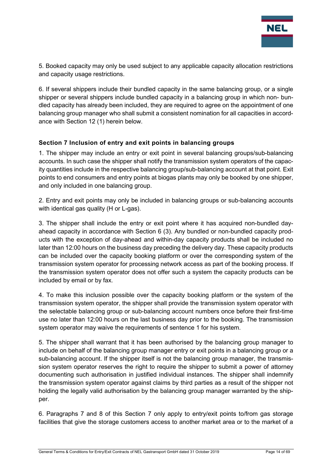

5. Booked capacity may only be used subject to any applicable capacity allocation restrictions and capacity usage restrictions.

6. If several shippers include their bundled capacity in the same balancing group, or a single shipper or several shippers include bundled capacity in a balancing group in which non- bundled capacity has already been included, they are required to agree on the appointment of one balancing group manager who shall submit a consistent nomination for all capacities in accordance with Section 12 (1) herein below.

## <span id="page-13-0"></span>**Section 7 Inclusion of entry and exit points in balancing groups**

1. The shipper may include an entry or exit point in several balancing groups/sub-balancing accounts. In such case the shipper shall notify the transmission system operators of the capacity quantities include in the respective balancing group/sub-balancing account at that point. Exit points to end consumers and entry points at biogas plants may only be booked by one shipper, and only included in one balancing group.

2. Entry and exit points may only be included in balancing groups or sub-balancing accounts with identical gas quality (H or L-gas).

3. The shipper shall include the entry or exit point where it has acquired non-bundled dayahead capacity in accordance with Section 6 (3). Any bundled or non-bundled capacity products with the exception of day-ahead and within-day capacity products shall be included no later than 12:00 hours on the business day preceding the delivery day. These capacity products can be included over the capacity booking platform or over the corresponding system of the transmission system operator for processing network access as part of the booking process. If the transmission system operator does not offer such a system the capacity products can be included by email or by fax.

4. To make this inclusion possible over the capacity booking platform or the system of the transmission system operator, the shipper shall provide the transmission system operator with the selectable balancing group or sub-balancing account numbers once before their first-time use no later than 12:00 hours on the last business day prior to the booking. The transmission system operator may waive the requirements of sentence 1 for his system.

5. The shipper shall warrant that it has been authorised by the balancing group manager to include on behalf of the balancing group manager entry or exit points in a balancing group or a sub-balancing account. If the shipper itself is not the balancing group manager, the transmission system operator reserves the right to require the shipper to submit a power of attorney documenting such authorisation in justified individual instances. The shipper shall indemnify the transmission system operator against claims by third parties as a result of the shipper not holding the legally valid authorisation by the balancing group manager warranted by the shipper.

6. Paragraphs 7 and 8 of this Section 7 only apply to entry/exit points to/from gas storage facilities that give the storage customers access to another market area or to the market of a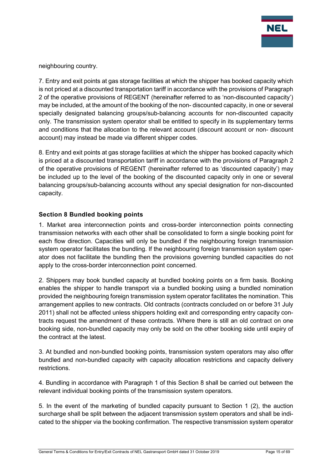

neighbouring country.

7. Entry and exit points at gas storage facilities at which the shipper has booked capacity which is not priced at a discounted transportation tariff in accordance with the provisions of Paragraph 2 of the operative provisions of REGENT (hereinafter referred to as 'non-discounted capacity') may be included, at the amount of the booking of the non- discounted capacity, in one or several specially designated balancing groups/sub-balancing accounts for non-discounted capacity only. The transmission system operator shall be entitled to specify in its supplementary terms and conditions that the allocation to the relevant account (discount account or non- discount account) may instead be made via different shipper codes.

8. Entry and exit points at gas storage facilities at which the shipper has booked capacity which is priced at a discounted transportation tariff in accordance with the provisions of Paragraph 2 of the operative provisions of REGENT (hereinafter referred to as 'discounted capacity') may be included up to the level of the booking of the discounted capacity only in one or several balancing groups/sub-balancing accounts without any special designation for non-discounted capacity.

## <span id="page-14-0"></span>**Section 8 Bundled booking points**

1. Market area interconnection points and cross-border interconnection points connecting transmission networks with each other shall be consolidated to form a single booking point for each flow direction. Capacities will only be bundled if the neighbouring foreign transmission system operator facilitates the bundling. If the neighbouring foreign transmission system operator does not facilitate the bundling then the provisions governing bundled capacities do not apply to the cross-border interconnection point concerned.

2. Shippers may book bundled capacity at bundled booking points on a firm basis. Booking enables the shipper to handle transport via a bundled booking using a bundled nomination provided the neighbouring foreign transmission system operator facilitates the nomination. This arrangement applies to new contracts. Old contracts (contracts concluded on or before 31 July 2011) shall not be affected unless shippers holding exit and corresponding entry capacity contracts request the amendment of these contracts. Where there is still an old contract on one booking side, non-bundled capacity may only be sold on the other booking side until expiry of the contract at the latest.

3. At bundled and non-bundled booking points, transmission system operators may also offer bundled and non-bundled capacity with capacity allocation restrictions and capacity delivery restrictions.

4. Bundling in accordance with Paragraph 1 of this Section 8 shall be carried out between the relevant individual booking points of the transmission system operators.

5. In the event of the marketing of bundled capacity pursuant to Section 1 (2), the auction surcharge shall be split between the adjacent transmission system operators and shall be indicated to the shipper via the booking confirmation. The respective transmission system operator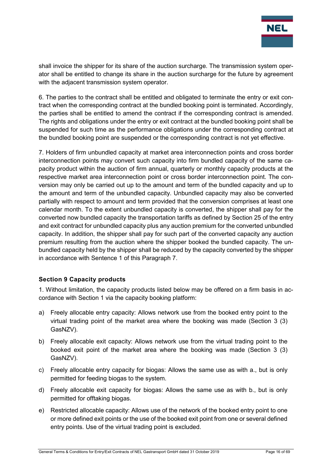

shall invoice the shipper for its share of the auction surcharge. The transmission system operator shall be entitled to change its share in the auction surcharge for the future by agreement with the adjacent transmission system operator.

6. The parties to the contract shall be entitled and obligated to terminate the entry or exit contract when the corresponding contract at the bundled booking point is terminated. Accordingly, the parties shall be entitled to amend the contract if the corresponding contract is amended. The rights and obligations under the entry or exit contract at the bundled booking point shall be suspended for such time as the performance obligations under the corresponding contract at the bundled booking point are suspended or the corresponding contract is not yet effective.

7. Holders of firm unbundled capacity at market area interconnection points and cross border interconnection points may convert such capacity into firm bundled capacity of the same capacity product within the auction of firm annual, quarterly or monthly capacity products at the respective market area interconnection point or cross border interconnection point. The conversion may only be carried out up to the amount and term of the bundled capacity and up to the amount and term of the unbundled capacity. Unbundled capacity may also be converted partially with respect to amount and term provided that the conversion comprises at least one calendar month. To the extent unbundled capacity is converted, the shipper shall pay for the converted now bundled capacity the transportation tariffs as defined by Section 25 of the entry and exit contract for unbundled capacity plus any auction premium for the converted unbundled capacity. In addition, the shipper shall pay for such part of the converted capacity any auction premium resulting from the auction where the shipper booked the bundled capacity. The unbundled capacity held by the shipper shall be reduced by the capacity converted by the shipper in accordance with Sentence 1 of this Paragraph 7.

## <span id="page-15-0"></span>**Section 9 Capacity products**

1. Without limitation, the capacity products listed below may be offered on a firm basis in accordance with Section 1 via the capacity booking platform:

- a) Freely allocable entry capacity: Allows network use from the booked entry point to the virtual trading point of the market area where the booking was made (Section 3 (3) GasNZV).
- b) Freely allocable exit capacity: Allows network use from the virtual trading point to the booked exit point of the market area where the booking was made (Section 3 (3) GasNZV).
- c) Freely allocable entry capacity for biogas: Allows the same use as with a., but is only permitted for feeding biogas to the system.
- d) Freely allocable exit capacity for biogas: Allows the same use as with b., but is only permitted for offtaking biogas.
- e) Restricted allocable capacity: Allows use of the network of the booked entry point to one or more defined exit points or the use of the booked exit point from one or several defined entry points. Use of the virtual trading point is excluded.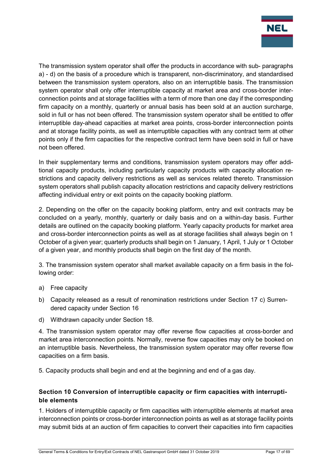

The transmission system operator shall offer the products in accordance with sub- paragraphs a) - d) on the basis of a procedure which is transparent, non-discriminatory, and standardised between the transmission system operators, also on an interruptible basis. The transmission system operator shall only offer interruptible capacity at market area and cross-border interconnection points and at storage facilities with a term of more than one day if the corresponding firm capacity on a monthly, quarterly or annual basis has been sold at an auction surcharge, sold in full or has not been offered. The transmission system operator shall be entitled to offer interruptible day-ahead capacities at market area points, cross-border interconnection points and at storage facility points, as well as interruptible capacities with any contract term at other points only if the firm capacities for the respective contract term have been sold in full or have not been offered.

In their supplementary terms and conditions, transmission system operators may offer additional capacity products, including particularly capacity products with capacity allocation restrictions and capacity delivery restrictions as well as services related thereto. Transmission system operators shall publish capacity allocation restrictions and capacity delivery restrictions affecting individual entry or exit points on the capacity booking platform.

2. Depending on the offer on the capacity booking platform, entry and exit contracts may be concluded on a yearly, monthly, quarterly or daily basis and on a within-day basis. Further details are outlined on the capacity booking platform. Yearly capacity products for market area and cross-border interconnection points as well as at storage facilities shall always begin on 1 October of a given year; quarterly products shall begin on 1 January, 1 April, 1 July or 1 October of a given year, and monthly products shall begin on the first day of the month.

3. The transmission system operator shall market available capacity on a firm basis in the following order:

- a) Free capacity
- b) Capacity released as a result of renomination restrictions under Section 17 c) Surrendered capacity under Section 16
- d) Withdrawn capacity under Section 18.

4. The transmission system operator may offer reverse flow capacities at cross-border and market area interconnection points. Normally, reverse flow capacities may only be booked on an interruptible basis. Nevertheless, the transmission system operator may offer reverse flow capacities on a firm basis.

5. Capacity products shall begin and end at the beginning and end of a gas day.

## <span id="page-16-0"></span>**Section 10 Conversion of interruptible capacity or firm capacities with interruptible elements**

1. Holders of interruptible capacity or firm capacities with interruptible elements at market area interconnection points or cross-border interconnection points as well as at storage facility points may submit bids at an auction of firm capacities to convert their capacities into firm capacities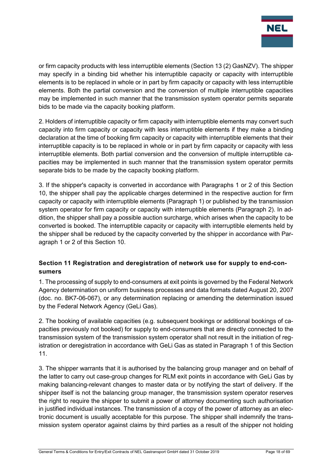

or firm capacity products with less interruptible elements (Section 13 (2) GasNZV). The shipper may specify in a binding bid whether his interruptible capacity or capacity with interruptible elements is to be replaced in whole or in part by firm capacity or capacity with less interruptible elements. Both the partial conversion and the conversion of multiple interruptible capacities may be implemented in such manner that the transmission system operator permits separate bids to be made via the capacity booking platform.

2. Holders of interruptible capacity or firm capacity with interruptible elements may convert such capacity into firm capacity or capacity with less interruptible elements if they make a binding declaration at the time of booking firm capacity or capacity with interruptible elements that their interruptible capacity is to be replaced in whole or in part by firm capacity or capacity with less interruptible elements. Both partial conversion and the conversion of multiple interruptible capacities may be implemented in such manner that the transmission system operator permits separate bids to be made by the capacity booking platform.

3. If the shipper's capacity is converted in accordance with Paragraphs 1 or 2 of this Section 10, the shipper shall pay the applicable charges determined in the respective auction for firm capacity or capacity with interruptible elements (Paragraph 1) or published by the transmission system operator for firm capacity or capacity with interruptible elements (Paragraph 2). In addition, the shipper shall pay a possible auction surcharge, which arises when the capacity to be converted is booked. The interruptible capacity or capacity with interruptible elements held by the shipper shall be reduced by the capacity converted by the shipper in accordance with Paragraph 1 or 2 of this Section 10.

## <span id="page-17-0"></span>**Section 11 Registration and deregistration of network use for supply to end-consumers**

1. The processing of supply to end-consumers at exit points is governed by the Federal Network Agency determination on uniform business processes and data formats dated August 20, 2007 (doc. no. BK7-06-067), or any determination replacing or amending the determination issued by the Federal Network Agency (GeLi Gas).

2. The booking of available capacities (e.g. subsequent bookings or additional bookings of capacities previously not booked) for supply to end-consumers that are directly connected to the transmission system of the transmission system operator shall not result in the initiation of registration or deregistration in accordance with GeLi Gas as stated in Paragraph 1 of this Section 11.

3. The shipper warrants that it is authorised by the balancing group manager and on behalf of the latter to carry out case-group changes for RLM exit points in accordance with GeLi Gas by making balancing-relevant changes to master data or by notifying the start of delivery. If the shipper itself is not the balancing group manager, the transmission system operator reserves the right to require the shipper to submit a power of attorney documenting such authorisation in justified individual instances. The transmission of a copy of the power of attorney as an electronic document is usually acceptable for this purpose. The shipper shall indemnify the transmission system operator against claims by third parties as a result of the shipper not holding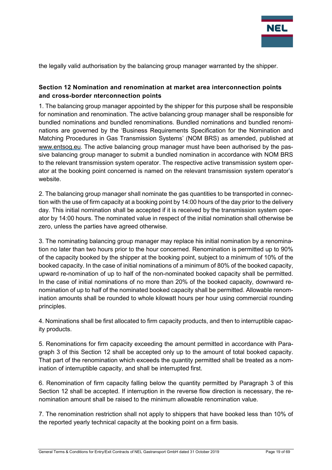

the legally valid authorisation by the balancing group manager warranted by the shipper.

## <span id="page-18-0"></span>**Section 12 Nomination and renomination at market area interconnection points and cross-border nterconnection points**

1. The balancing group manager appointed by the shipper for this purpose shall be responsible for nomination and renomination. The active balancing group manager shall be responsible for bundled nominations and bundled renominations. Bundled nominations and bundled renominations are governed by the 'Business Requirements Specification for the Nomination and Matching Procedures in Gas Transmission Systems' (NOM BRS) as amended, published at [www.entsog.eu. T](http://www.entsog.eu/)he active balancing group manager must have been authorised by the passive balancing group manager to submit a bundled nomination in accordance with NOM BRS to the relevant transmission system operator. The respective active transmission system operator at the booking point concerned is named on the relevant transmission system operator's website.

2. The balancing group manager shall nominate the gas quantities to be transported in connection with the use of firm capacity at a booking point by 14:00 hours of the day prior to the delivery day. This initial nomination shall be accepted if it is received by the transmission system operator by 14:00 hours. The nominated value in respect of the initial nomination shall otherwise be zero, unless the parties have agreed otherwise.

3. The nominating balancing group manager may replace his initial nomination by a renomination no later than two hours prior to the hour concerned. Renomination is permitted up to 90% of the capacity booked by the shipper at the booking point, subject to a minimum of 10% of the booked capacity. In the case of initial nominations of a minimum of 80% of the booked capacity, upward re-nomination of up to half of the non-nominated booked capacity shall be permitted. In the case of initial nominations of no more than 20% of the booked capacity, downward renomination of up to half of the nominated booked capacity shall be permitted. Allowable renomination amounts shall be rounded to whole kilowatt hours per hour using commercial rounding principles.

4. Nominations shall be first allocated to firm capacity products, and then to interruptible capacity products.

5. Renominations for firm capacity exceeding the amount permitted in accordance with Paragraph 3 of this Section 12 shall be accepted only up to the amount of total booked capacity. That part of the renomination which exceeds the quantity permitted shall be treated as a nomination of interruptible capacity, and shall be interrupted first.

6. Renomination of firm capacity falling below the quantity permitted by Paragraph 3 of this Section 12 shall be accepted. If interruption in the reverse flow direction is necessary, the renomination amount shall be raised to the minimum allowable renomination value.

7. The renomination restriction shall not apply to shippers that have booked less than 10% of the reported yearly technical capacity at the booking point on a firm basis.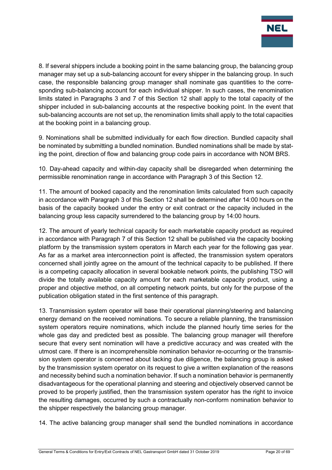

8. If several shippers include a booking point in the same balancing group, the balancing group manager may set up a sub-balancing account for every shipper in the balancing group. In such case, the responsible balancing group manager shall nominate gas quantities to the corresponding sub-balancing account for each individual shipper. In such cases, the renomination limits stated in Paragraphs 3 and 7 of this Section 12 shall apply to the total capacity of the shipper included in sub-balancing accounts at the respective booking point. In the event that sub-balancing accounts are not set up, the renomination limits shall apply to the total capacities at the booking point in a balancing group.

9. Nominations shall be submitted individually for each flow direction. Bundled capacity shall be nominated by submitting a bundled nomination. Bundled nominations shall be made by stating the point, direction of flow and balancing group code pairs in accordance with NOM BRS.

10. Day-ahead capacity and within-day capacity shall be disregarded when determining the permissible renomination range in accordance with Paragraph 3 of this Section 12.

11. The amount of booked capacity and the renomination limits calculated from such capacity in accordance with Paragraph 3 of this Section 12 shall be determined after 14:00 hours on the basis of the capacity booked under the entry or exit contract or the capacity included in the balancing group less capacity surrendered to the balancing group by 14:00 hours.

12. The amount of yearly technical capacity for each marketable capacity product as required in accordance with Paragraph 7 of this Section 12 shall be published via the capacity booking platform by the transmission system operators in March each year for the following gas year. As far as a market area interconnection point is affected, the transmission system operators concerned shall jointly agree on the amount of the technical capacity to be published. If there is a competing capacity allocation in several bookable network points, the publishing TSO will divide the totally available capacity amount for each marketable capacity product, using a proper and objective method, on all competing network points, but only for the purpose of the publication obligation stated in the first sentence of this paragraph.

13. Transmission system operator will base their operational planning/steering and balancing energy demand on the received nominations. To secure a reliable planning, the transmission system operators require nominations, which include the planned hourly time series for the whole gas day and predicted best as possible. The balancing group manager will therefore secure that every sent nomination will have a predictive accuracy and was created with the utmost care. If there is an incomprehensible nomination behavior re-occurring or the transmission system operator is concerned about lacking due diligence, the balancing group is asked by the transmission system operator on its request to give a written explanation of the reasons and necessity behind such a nomination behavior. If such a nomination behavior is permanently disadvantageous for the operational planning and steering and objectively observed cannot be proved to be properly justified, then the transmission system operator has the right to invoice the resulting damages, occurred by such a contractually non-conform nomination behavior to the shipper respectively the balancing group manager.

14. The active balancing group manager shall send the bundled nominations in accordance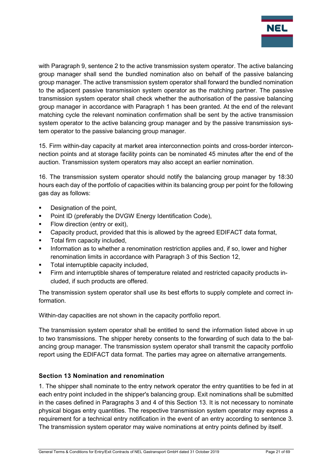

with Paragraph 9, sentence 2 to the active transmission system operator. The active balancing group manager shall send the bundled nomination also on behalf of the passive balancing group manager. The active transmission system operator shall forward the bundled nomination to the adjacent passive transmission system operator as the matching partner. The passive transmission system operator shall check whether the authorisation of the passive balancing group manager in accordance with Paragraph 1 has been granted. At the end of the relevant matching cycle the relevant nomination confirmation shall be sent by the active transmission system operator to the active balancing group manager and by the passive transmission system operator to the passive balancing group manager.

15. Firm within-day capacity at market area interconnection points and cross-border interconnection points and at storage facility points can be nominated 45 minutes after the end of the auction. Transmission system operators may also accept an earlier nomination.

16. The transmission system operator should notify the balancing group manager by 18:30 hours each day of the portfolio of capacities within its balancing group per point for the following gas day as follows:

- Designation of the point,
- Point ID (preferably the DVGW Energy Identification Code),
- Flow direction (entry or exit),
- Capacity product, provided that this is allowed by the agreed EDIFACT data format,
- **Total firm capacity included,**
- **Information as to whether a renomination restriction applies and, if so, lower and higher** renomination limits in accordance with Paragraph 3 of this Section 12,
- Total interruptible capacity included,
- Firm and interruptible shares of temperature related and restricted capacity products included, if such products are offered.

The transmission system operator shall use its best efforts to supply complete and correct information.

Within-day capacities are not shown in the capacity portfolio report.

The transmission system operator shall be entitled to send the information listed above in up to two transmissions. The shipper hereby consents to the forwarding of such data to the balancing group manager. The transmission system operator shall transmit the capacity portfolio report using the EDIFACT data format. The parties may agree on alternative arrangements.

## <span id="page-20-0"></span>**Section 13 Nomination and renomination**

1. The shipper shall nominate to the entry network operator the entry quantities to be fed in at each entry point included in the shipper's balancing group. Exit nominations shall be submitted in the cases defined in Paragraphs 3 and 4 of this Section 13. It is not necessary to nominate physical biogas entry quantities. The respective transmission system operator may express a requirement for a technical entry notification in the event of an entry according to sentence 3. The transmission system operator may waive nominations at entry points defined by itself.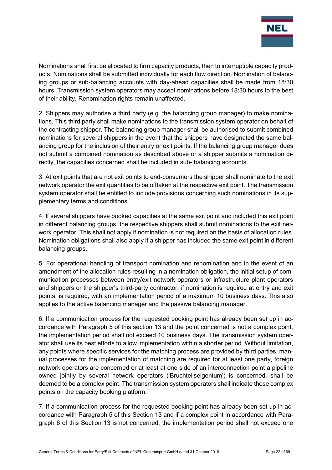

Nominations shall first be allocated to firm capacity products, then to interruptible capacity products. Nominations shall be submitted individually for each flow direction. Nomination of balancing groups or sub-balancing accounts with day-ahead capacities shall be made from 18:30 hours. Transmission system operators may accept nominations before 18:30 hours to the best of their ability. Renomination rights remain unaffected.

2. Shippers may authorise a third party (e.g. the balancing group manager) to make nominations. This third party shall make nominations to the transmission system operator on behalf of the contracting shipper. The balancing group manager shall be authorised to submit combined nominations for several shippers in the event that the shippers have designated the same balancing group for the inclusion of their entry or exit points. If the balancing group manager does not submit a combined nomination as described above or a shipper submits a nomination directly, the capacities concerned shall be included in sub- balancing accounts.

3. At exit points that are not exit points to end-consumers the shipper shall nominate to the exit network operator the exit quantities to be offtaken at the respective exit point. The transmission system operator shall be entitled to include provisions concerning such nominations in its supplementary terms and conditions.

4. If several shippers have booked capacities at the same exit point and included this exit point in different balancing groups, the respective shippers shall submit nominations to the exit network operator. This shall not apply if nomination is not required on the basis of allocation rules. Nomination obligations shall also apply if a shipper has included the same exit point in different balancing groups.

5. For operational handling of transport nomination and renomination and in the event of an amendment of the allocation rules resulting in a nomination obligation, the initial setup of communication processes between entry/exit network operators or infrastructure plant operators and shippers or the shipper's third-party contractor, if nomination is required at entry and exit points, is required, with an implementation period of a maximum 10 business days. This also applies to the active balancing manager and the passive balancing manager.

6. If a communication process for the requested booking point has already been set up in accordance with Paragraph 5 of this section 13 and the point concerned is not a complex point, the implementation period shall not exceed 10 business days. The transmission system operator shall use its best efforts to allow implementation within a shorter period. Without limitation, any points where specific services for the matching process are provided by third parties, manual processes for the implementation of matching are required for at least one party, foreign network operators are concerned or at least at one side of an interconnection point a pipeline owned jointly by several network operators ('Bruchteilseigentum') is concerned, shall be deemed to be a complex point. The transmission system operators shall indicate these complex points on the capacity booking platform.

7. If a communication process for the requested booking point has already been set up in accordance with Paragraph 5 of this Section 13 and if a complex point in accordance with Paragraph 6 of this Section 13 is not concerned, the implementation period shall not exceed one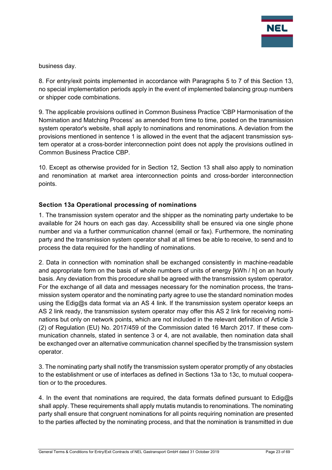

business day.

8. For entry/exit points implemented in accordance with Paragraphs 5 to 7 of this Section 13, no special implementation periods apply in the event of implemented balancing group numbers or shipper code combinations.

9. The applicable provisions outlined in Common Business Practice 'CBP Harmonisation of the Nomination and Matching Process' as amended from time to time, posted on the transmission system operator's website, shall apply to nominations and renominations. A deviation from the provisions mentioned in sentence 1 is allowed in the event that the adjacent transmission system operator at a cross-border interconnection point does not apply the provisions outlined in Common Business Practice CBP.

10. Except as otherwise provided for in Section 12, Section 13 shall also apply to nomination and renomination at market area interconnection points and cross-border interconnection points.

## <span id="page-22-0"></span>**Section 13a Operational processing of nominations**

1. The transmission system operator and the shipper as the nominating party undertake to be available for 24 hours on each gas day. Accessibility shall be ensured via one single phone number and via a further communication channel (email or fax). Furthermore, the nominating party and the transmission system operator shall at all times be able to receive, to send and to process the data required for the handling of nominations.

2. Data in connection with nomination shall be exchanged consistently in machine-readable and appropriate form on the basis of whole numbers of units of energy [kWh / h] on an hourly basis. Any deviation from this procedure shall be agreed with the transmission system operator. For the exchange of all data and messages necessary for the nomination process, the transmission system operator and the nominating party agree to use the standard nomination modes using the Edig@s data format via an AS 4 link. If the transmission system operator keeps an AS 2 link ready, the transmission system operator may offer this AS 2 link for receiving nominations but only on network points, which are not included in the relevant definition of Article 3 (2) of Regulation (EU) No. 2017/459 of the Commission dated 16 March 2017. If these communication channels, stated in sentence 3 or 4, are not available, then nomination data shall be exchanged over an alternative communication channel specified by the transmission system operator.

3. The nominating party shall notify the transmission system operator promptly of any obstacles to the establishment or use of interfaces as defined in Sections 13a to 13c, to mutual cooperation or to the procedures.

4. In the event that nominations are required, the data formats defined pursuant to Edig $\omega$ s shall apply. These requirements shall apply mutatis mutandis to renominations. The nominating party shall ensure that congruent nominations for all points requiring nomination are presented to the parties affected by the nominating process, and that the nomination is transmitted in due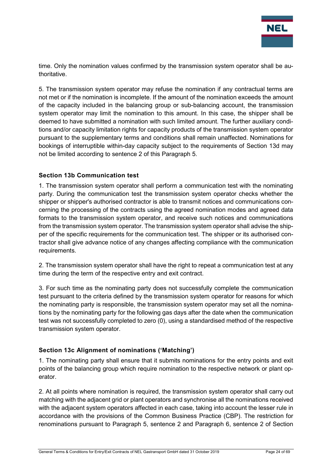

time. Only the nomination values confirmed by the transmission system operator shall be authoritative.

5. The transmission system operator may refuse the nomination if any contractual terms are not met or if the nomination is incomplete. If the amount of the nomination exceeds the amount of the capacity included in the balancing group or sub-balancing account, the transmission system operator may limit the nomination to this amount. In this case, the shipper shall be deemed to have submitted a nomination with such limited amount. The further auxiliary conditions and/or capacity limitation rights for capacity products of the transmission system operator pursuant to the supplementary terms and conditions shall remain unaffected. Nominations for bookings of interruptible within-day capacity subject to the requirements of Section 13d may not be limited according to sentence 2 of this Paragraph 5.

#### <span id="page-23-0"></span>**Section 13b Communication test**

1. The transmission system operator shall perform a communication test with the nominating party. During the communication test the transmission system operator checks whether the shipper or shipper's authorised contractor is able to transmit notices and communications concerning the processing of the contracts using the agreed nomination modes and agreed data formats to the transmission system operator, and receive such notices and communications from the transmission system operator. The transmission system operator shall advise the shipper of the specific requirements for the communication test. The shipper or its authorised contractor shall give advance notice of any changes affecting compliance with the communication requirements.

2. The transmission system operator shall have the right to repeat a communication test at any time during the term of the respective entry and exit contract.

3. For such time as the nominating party does not successfully complete the communication test pursuant to the criteria defined by the transmission system operator for reasons for which the nominating party is responsible, the transmission system operator may set all the nominations by the nominating party for the following gas days after the date when the communication test was not successfully completed to zero (0), using a standardised method of the respective transmission system operator.

## <span id="page-23-1"></span>**Section 13c Alignment of nominations ('Matching')**

1. The nominating party shall ensure that it submits nominations for the entry points and exit points of the balancing group which require nomination to the respective network or plant operator.

2. At all points where nomination is required, the transmission system operator shall carry out matching with the adjacent grid or plant operators and synchronise all the nominations received with the adjacent system operators affected in each case, taking into account the lesser rule in accordance with the provisions of the Common Business Practice (CBP). The restriction for renominations pursuant to Paragraph 5, sentence 2 and Paragraph 6, sentence 2 of Section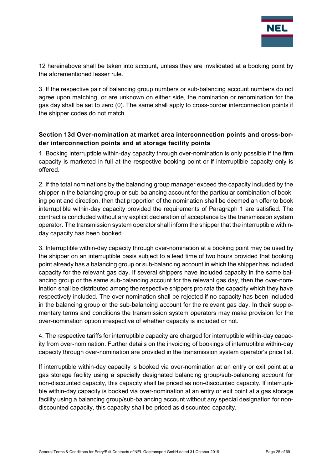

12 hereinabove shall be taken into account, unless they are invalidated at a booking point by the aforementioned lesser rule.

3. If the respective pair of balancing group numbers or sub-balancing account numbers do not agree upon matching, or are unknown on either side, the nomination or renomination for the gas day shall be set to zero (0). The same shall apply to cross-border interconnection points if the shipper codes do not match.

## <span id="page-24-0"></span>**Section 13d Over-nomination at market area interconnection points and cross-border interconnection points and at storage facility points**

1. Booking interruptible within-day capacity through over-nomination is only possible if the firm capacity is marketed in full at the respective booking point or if interruptible capacity only is offered.

2. If the total nominations by the balancing group manager exceed the capacity included by the shipper in the balancing group or sub-balancing account for the particular combination of booking point and direction, then that proportion of the nomination shall be deemed an offer to book interruptible within-day capacity provided the requirements of Paragraph 1 are satisfied. The contract is concluded without any explicit declaration of acceptance by the transmission system operator. The transmission system operator shall inform the shipper that the interruptible withinday capacity has been booked.

3. Interruptible within-day capacity through over-nomination at a booking point may be used by the shipper on an interruptible basis subject to a lead time of two hours provided that booking point already has a balancing group or sub-balancing account in which the shipper has included capacity for the relevant gas day. If several shippers have included capacity in the same balancing group or the same sub-balancing account for the relevant gas day, then the over-nomination shall be distributed among the respective shippers pro rata the capacity which they have respectively included. The over-nomination shall be rejected if no capacity has been included in the balancing group or the sub-balancing account for the relevant gas day. In their supplementary terms and conditions the transmission system operators may make provision for the over-nomination option irrespective of whether capacity is included or not.

4. The respective tariffs for interruptible capacity are charged for interruptible within-day capacity from over-nomination. Further details on the invoicing of bookings of interruptible within-day capacity through over-nomination are provided in the transmission system operator's price list.

If interruptible within-day capacity is booked via over-nomination at an entry or exit point at a gas storage facility using a specially designated balancing group/sub-balancing account for non-discounted capacity, this capacity shall be priced as non-discounted capacity. If interruptible within-day capacity is booked via over-nomination at an entry or exit point at a gas storage facility using a balancing group/sub-balancing account without any special designation for nondiscounted capacity, this capacity shall be priced as discounted capacity.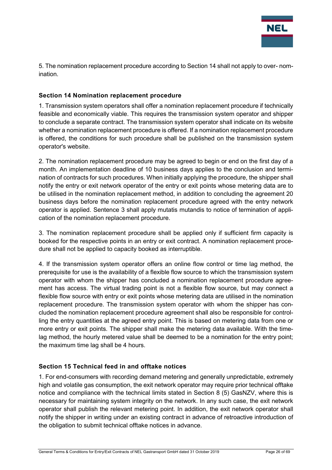

5. The nomination replacement procedure according to Section 14 shall not apply to over- nomination.

#### <span id="page-25-0"></span>**Section 14 Nomination replacement procedure**

1. Transmission system operators shall offer a nomination replacement procedure if technically feasible and economically viable. This requires the transmission system operator and shipper to conclude a separate contract. The transmission system operator shall indicate on its website whether a nomination replacement procedure is offered. If a nomination replacement procedure is offered, the conditions for such procedure shall be published on the transmission system operator's website.

2. The nomination replacement procedure may be agreed to begin or end on the first day of a month. An implementation deadline of 10 business days applies to the conclusion and termination of contracts for such procedures. When initially applying the procedure, the shipper shall notify the entry or exit network operator of the entry or exit points whose metering data are to be utilised in the nomination replacement method, in addition to concluding the agreement 20 business days before the nomination replacement procedure agreed with the entry network operator is applied. Sentence 3 shall apply mutatis mutandis to notice of termination of application of the nomination replacement procedure.

3. The nomination replacement procedure shall be applied only if sufficient firm capacity is booked for the respective points in an entry or exit contract. A nomination replacement procedure shall not be applied to capacity booked as interruptible.

4. If the transmission system operator offers an online flow control or time lag method, the prerequisite for use is the availability of a flexible flow source to which the transmission system operator with whom the shipper has concluded a nomination replacement procedure agreement has access. The virtual trading point is not a flexible flow source, but may connect a flexible flow source with entry or exit points whose metering data are utilised in the nomination replacement procedure. The transmission system operator with whom the shipper has concluded the nomination replacement procedure agreement shall also be responsible for controlling the entry quantities at the agreed entry point. This is based on metering data from one or more entry or exit points. The shipper shall make the metering data available. With the timelag method, the hourly metered value shall be deemed to be a nomination for the entry point; the maximum time lag shall be 4 hours.

## <span id="page-25-1"></span>**Section 15 Technical feed in and offtake notices**

1. For end-consumers with recording demand metering and generally unpredictable, extremely high and volatile gas consumption, the exit network operator may require prior technical offtake notice and compliance with the technical limits stated in Section 8 (5) GasNZV, where this is necessary for maintaining system integrity on the network. In any such case, the exit network operator shall publish the relevant metering point. In addition, the exit network operator shall notify the shipper in writing under an existing contract in advance of retroactive introduction of the obligation to submit technical offtake notices in advance.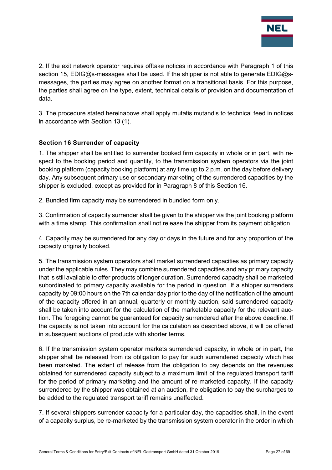

2. If the exit network operator requires offtake notices in accordance with Paragraph 1 of this section 15, EDIG@s-messages shall be used. If the shipper is not able to generate EDIG@smessages, the parties may agree on another format on a transitional basis. For this purpose, the parties shall agree on the type, extent, technical details of provision and documentation of data.

3. The procedure stated hereinabove shall apply mutatis mutandis to technical feed in notices in accordance with Section 13 (1).

## <span id="page-26-0"></span>**Section 16 Surrender of capacity**

1. The shipper shall be entitled to surrender booked firm capacity in whole or in part, with respect to the booking period and quantity, to the transmission system operators via the joint booking platform (capacity booking platform) at any time up to 2 p.m. on the day before delivery day. Any subsequent primary use or secondary marketing of the surrendered capacities by the shipper is excluded, except as provided for in Paragraph 8 of this Section 16.

2. Bundled firm capacity may be surrendered in bundled form only.

3. Confirmation of capacity surrender shall be given to the shipper via the joint booking platform with a time stamp. This confirmation shall not release the shipper from its payment obligation.

4. Capacity may be surrendered for any day or days in the future and for any proportion of the capacity originally booked.

5. The transmission system operators shall market surrendered capacities as primary capacity under the applicable rules. They may combine surrendered capacities and any primary capacity that is still available to offer products of longer duration. Surrendered capacity shall be marketed subordinated to primary capacity available for the period in question. If a shipper surrenders capacity by 09:00 hours on the 7th calendar day prior to the day of the notification of the amount of the capacity offered in an annual, quarterly or monthly auction, said surrendered capacity shall be taken into account for the calculation of the marketable capacity for the relevant auction. The foregoing cannot be guaranteed for capacity surrendered after the above deadline. If the capacity is not taken into account for the calculation as described above, it will be offered in subsequent auctions of products with shorter terms.

6. If the transmission system operator markets surrendered capacity, in whole or in part, the shipper shall be released from its obligation to pay for such surrendered capacity which has been marketed. The extent of release from the obligation to pay depends on the revenues obtained for surrendered capacity subject to a maximum limit of the regulated transport tariff for the period of primary marketing and the amount of re-marketed capacity. If the capacity surrendered by the shipper was obtained at an auction, the obligation to pay the surcharges to be added to the regulated transport tariff remains unaffected.

7. If several shippers surrender capacity for a particular day, the capacities shall, in the event of a capacity surplus, be re-marketed by the transmission system operator in the order in which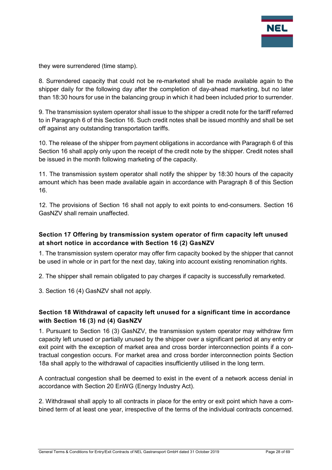

they were surrendered (time stamp).

8. Surrendered capacity that could not be re-marketed shall be made available again to the shipper daily for the following day after the completion of day-ahead marketing, but no later than 18:30 hours for use in the balancing group in which it had been included prior to surrender.

9. The transmission system operator shall issue to the shipper a credit note for the tariff referred to in Paragraph 6 of this Section 16. Such credit notes shall be issued monthly and shall be set off against any outstanding transportation tariffs.

10. The release of the shipper from payment obligations in accordance with Paragraph 6 of this Section 16 shall apply only upon the receipt of the credit note by the shipper. Credit notes shall be issued in the month following marketing of the capacity.

11. The transmission system operator shall notify the shipper by 18:30 hours of the capacity amount which has been made available again in accordance with Paragraph 8 of this Section 16.

12. The provisions of Section 16 shall not apply to exit points to end-consumers. Section 16 GasNZV shall remain unaffected.

## <span id="page-27-0"></span>**Section 17 Offering by transmission system operator of firm capacity left unused at short notice in accordance with Section 16 (2) GasNZV**

1. The transmission system operator may offer firm capacity booked by the shipper that cannot be used in whole or in part for the next day, taking into account existing renomination rights.

2. The shipper shall remain obligated to pay charges if capacity is successfully remarketed.

3. Section 16 (4) GasNZV shall not apply.

## <span id="page-27-1"></span>**Section 18 Withdrawal of capacity left unused for a significant time in accordance with Section 16 (3) nd (4) GasNZV**

1. Pursuant to Section 16 (3) GasNZV, the transmission system operator may withdraw firm capacity left unused or partially unused by the shipper over a significant period at any entry or exit point with the exception of market area and cross border interconnection points if a contractual congestion occurs. For market area and cross border interconnection points Section 18a shall apply to the withdrawal of capacities insufficiently utilised in the long term.

A contractual congestion shall be deemed to exist in the event of a network access denial in accordance with Section 20 EnWG (Energy Industry Act).

2. Withdrawal shall apply to all contracts in place for the entry or exit point which have a combined term of at least one year, irrespective of the terms of the individual contracts concerned.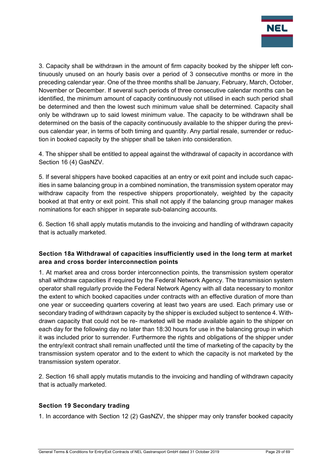

3. Capacity shall be withdrawn in the amount of firm capacity booked by the shipper left continuously unused on an hourly basis over a period of 3 consecutive months or more in the preceding calendar year. One of the three months shall be January, February, March, October, November or December. If several such periods of three consecutive calendar months can be identified, the minimum amount of capacity continuously not utilised in each such period shall be determined and then the lowest such minimum value shall be determined. Capacity shall only be withdrawn up to said lowest minimum value. The capacity to be withdrawn shall be determined on the basis of the capacity continuously available to the shipper during the previous calendar year, in terms of both timing and quantity. Any partial resale, surrender or reduction in booked capacity by the shipper shall be taken into consideration.

4. The shipper shall be entitled to appeal against the withdrawal of capacity in accordance with Section 16 (4) GasNZV.

5. If several shippers have booked capacities at an entry or exit point and include such capacities in same balancing group in a combined nomination, the transmission system operator may withdraw capacity from the respective shippers proportionately, weighted by the capacity booked at that entry or exit point. This shall not apply if the balancing group manager makes nominations for each shipper in separate sub-balancing accounts.

6. Section 16 shall apply mutatis mutandis to the invoicing and handling of withdrawn capacity that is actually marketed.

## <span id="page-28-0"></span>**Section 18a Withdrawal of capacities insufficiently used in the long term at market area and cross border interconnection points**

1. At market area and cross border interconnection points, the transmission system operator shall withdraw capacities if required by the Federal Network Agency. The transmission system operator shall regularly provide the Federal Network Agency with all data necessary to monitor the extent to which booked capacities under contracts with an effective duration of more than one year or succeeding quarters covering at least two years are used. Each primary use or secondary trading of withdrawn capacity by the shipper is excluded subject to sentence 4. Withdrawn capacity that could not be re- marketed will be made available again to the shipper on each day for the following day no later than 18:30 hours for use in the balancing group in which it was included prior to surrender. Furthermore the rights and obligations of the shipper under the entry/exit contract shall remain unaffected until the time of marketing of the capacity by the transmission system operator and to the extent to which the capacity is not marketed by the transmission system operator.

2. Section 16 shall apply mutatis mutandis to the invoicing and handling of withdrawn capacity that is actually marketed.

## <span id="page-28-1"></span>**Section 19 Secondary trading**

1. In accordance with Section 12 (2) GasNZV, the shipper may only transfer booked capacity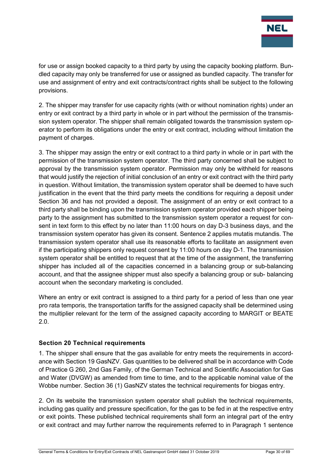

for use or assign booked capacity to a third party by using the capacity booking platform. Bundled capacity may only be transferred for use or assigned as bundled capacity. The transfer for use and assignment of entry and exit contracts/contract rights shall be subject to the following provisions.

2. The shipper may transfer for use capacity rights (with or without nomination rights) under an entry or exit contract by a third party in whole or in part without the permission of the transmission system operator. The shipper shall remain obligated towards the transmission system operator to perform its obligations under the entry or exit contract, including without limitation the payment of charges.

3. The shipper may assign the entry or exit contract to a third party in whole or in part with the permission of the transmission system operator. The third party concerned shall be subject to approval by the transmission system operator. Permission may only be withheld for reasons that would justify the rejection of initial conclusion of an entry or exit contract with the third party in question. Without limitation, the transmission system operator shall be deemed to have such justification in the event that the third party meets the conditions for requiring a deposit under Section 36 and has not provided a deposit. The assignment of an entry or exit contract to a third party shall be binding upon the transmission system operator provided each shipper being party to the assignment has submitted to the transmission system operator a request for consent in text form to this effect by no later than 11:00 hours on day D-3 business days, and the transmission system operator has given its consent. Sentence 2 applies mutatis mutandis. The transmission system operator shall use its reasonable efforts to facilitate an assignment even if the participating shippers only request consent by 11:00 hours on day D-1. The transmission system operator shall be entitled to request that at the time of the assignment, the transferring shipper has included all of the capacities concerned in a balancing group or sub-balancing account, and that the assignee shipper must also specify a balancing group or sub- balancing account when the secondary marketing is concluded.

Where an entry or exit contract is assigned to a third party for a period of less than one year pro rata temporis, the transportation tariffs for the assigned capacity shall be determined using the multiplier relevant for the term of the assigned capacity according to MARGIT or BEATE 2.0.

## <span id="page-29-0"></span>**Section 20 Technical requirements**

1. The shipper shall ensure that the gas available for entry meets the requirements in accordance with Section 19 GasNZV. Gas quantities to be delivered shall be in accordance with Code of Practice G 260, 2nd Gas Family, of the German Technical and Scientific Association for Gas and Water (DVGW) as amended from time to time, and to the applicable nominal value of the Wobbe number. Section 36 (1) GasNZV states the technical requirements for biogas entry.

2. On its website the transmission system operator shall publish the technical requirements, including gas quality and pressure specification, for the gas to be fed in at the respective entry or exit points. These published technical requirements shall form an integral part of the entry or exit contract and may further narrow the requirements referred to in Paragraph 1 sentence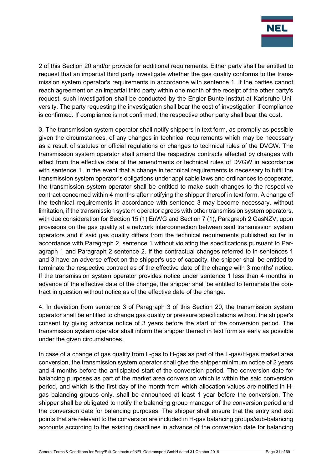

2 of this Section 20 and/or provide for additional requirements. Either party shall be entitled to request that an impartial third party investigate whether the gas quality conforms to the transmission system operator's requirements in accordance with sentence 1. If the parties cannot reach agreement on an impartial third party within one month of the receipt of the other party's request, such investigation shall be conducted by the Engler-Bunte-Institut at Karlsruhe University. The party requesting the investigation shall bear the cost of investigation if compliance is confirmed. If compliance is not confirmed, the respective other party shall bear the cost.

3. The transmission system operator shall notify shippers in text form, as promptly as possible given the circumstances, of any changes in technical requirements which may be necessary as a result of statutes or official regulations or changes to technical rules of the DVGW. The transmission system operator shall amend the respective contracts affected by changes with effect from the effective date of the amendments or technical rules of DVGW in accordance with sentence 1. In the event that a change in technical requirements is necessary to fulfil the transmission system operator's obligations under applicable laws and ordinances to cooperate, the transmission system operator shall be entitled to make such changes to the respective contract concerned within 4 months after notifying the shipper thereof in text form. A change of the technical requirements in accordance with sentence 3 may become necessary, without limitation, if the transmission system operator agrees with other transmission system operators, with due consideration for Section 15 (1) EnWG and Section 7 (1), Paragraph 2 GasNZV, upon provisions on the gas quality at a network interconnection between said transmission system operators and if said gas quality differs from the technical requirements published so far in accordance with Paragraph 2, sentence 1 without violating the specifications pursuant to Paragraph 1 and Paragraph 2 sentence 2. If the contractual changes referred to in sentences 1 and 3 have an adverse effect on the shipper's use of capacity, the shipper shall be entitled to terminate the respective contract as of the effective date of the change with 3 months' notice. If the transmission system operator provides notice under sentence 1 less than 4 months in advance of the effective date of the change, the shipper shall be entitled to terminate the contract in question without notice as of the effective date of the change.

4. In deviation from sentence 3 of Paragraph 3 of this Section 20, the transmission system operator shall be entitled to change gas quality or pressure specifications without the shipper's consent by giving advance notice of 3 years before the start of the conversion period. The transmission system operator shall inform the shipper thereof in text form as early as possible under the given circumstances.

In case of a change of gas quality from L-gas to H-gas as part of the L-gas/H-gas market area conversion, the transmission system operator shall give the shipper minimum notice of 2 years and 4 months before the anticipated start of the conversion period. The conversion date for balancing purposes as part of the market area conversion which is within the said conversion period, and which is the first day of the month from which allocation values are notified in Hgas balancing groups only, shall be announced at least 1 year before the conversion. The shipper shall be obligated to notify the balancing group manager of the conversion period and the conversion date for balancing purposes. The shipper shall ensure that the entry and exit points that are relevant to the conversion are included in H-gas balancing groups/sub-balancing accounts according to the existing deadlines in advance of the conversion date for balancing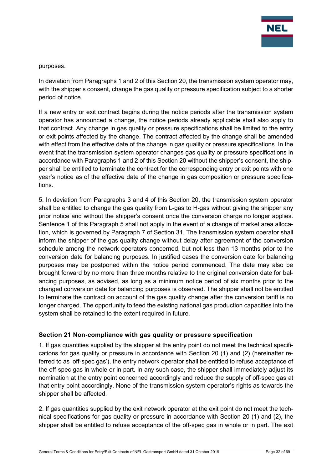

#### purposes.

In deviation from Paragraphs 1 and 2 of this Section 20, the transmission system operator may, with the shipper's consent, change the gas quality or pressure specification subject to a shorter period of notice.

If a new entry or exit contract begins during the notice periods after the transmission system operator has announced a change, the notice periods already applicable shall also apply to that contract. Any change in gas quality or pressure specifications shall be limited to the entry or exit points affected by the change. The contract affected by the change shall be amended with effect from the effective date of the change in gas quality or pressure specifications. In the event that the transmission system operator changes gas quality or pressure specifications in accordance with Paragraphs 1 and 2 of this Section 20 without the shipper's consent, the shipper shall be entitled to terminate the contract for the corresponding entry or exit points with one year's notice as of the effective date of the change in gas composition or pressure specifications.

5. In deviation from Paragraphs 3 and 4 of this Section 20, the transmission system operator shall be entitled to change the gas quality from L-gas to H-gas without giving the shipper any prior notice and without the shipper's consent once the conversion charge no longer applies. Sentence 1 of this Paragraph 5 shall not apply in the event of a change of market area allocation, which is governed by Paragraph 7 of Section 31. The transmission system operator shall inform the shipper of the gas quality change without delay after agreement of the conversion schedule among the network operators concerned, but not less than 13 months prior to the conversion date for balancing purposes. In justified cases the conversion date for balancing purposes may be postponed within the notice period commenced. The date may also be brought forward by no more than three months relative to the original conversion date for balancing purposes, as advised, as long as a minimum notice period of six months prior to the changed conversion date for balancing purposes is observed. The shipper shall not be entitled to terminate the contract on account of the gas quality change after the conversion tariff is no longer charged. The opportunity to feed the existing national gas production capacities into the system shall be retained to the extent required in future.

## <span id="page-31-0"></span>**Section 21 Non-compliance with gas quality or pressure specification**

1. If gas quantities supplied by the shipper at the entry point do not meet the technical specifications for gas quality or pressure in accordance with Section 20 (1) and (2) (hereinafter referred to as 'off-spec gas'), the entry network operator shall be entitled to refuse acceptance of the off-spec gas in whole or in part. In any such case, the shipper shall immediately adjust its nomination at the entry point concerned accordingly and reduce the supply of off-spec gas at that entry point accordingly. None of the transmission system operator's rights as towards the shipper shall be affected.

2. If gas quantities supplied by the exit network operator at the exit point do not meet the technical specifications for gas quality or pressure in accordance with Section 20 (1) and (2), the shipper shall be entitled to refuse acceptance of the off-spec gas in whole or in part. The exit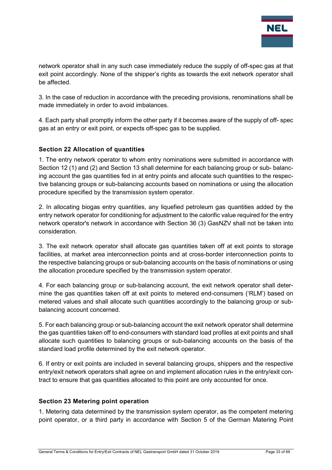

network operator shall in any such case immediately reduce the supply of off-spec gas at that exit point accordingly. None of the shipper's rights as towards the exit network operator shall be affected.

3. In the case of reduction in accordance with the preceding provisions, renominations shall be made immediately in order to avoid imbalances.

4. Each party shall promptly inform the other party if it becomes aware of the supply of off- spec gas at an entry or exit point, or expects off-spec gas to be supplied.

## <span id="page-32-0"></span>**Section 22 Allocation of quantities**

1. The entry network operator to whom entry nominations were submitted in accordance with Section 12 (1) and (2) and Section 13 shall determine for each balancing group or sub- balancing account the gas quantities fed in at entry points and allocate such quantities to the respective balancing groups or sub-balancing accounts based on nominations or using the allocation procedure specified by the transmission system operator.

2. In allocating biogas entry quantities, any liquefied petroleum gas quantities added by the entry network operator for conditioning for adjustment to the calorific value required for the entry network operator's network in accordance with Section 36 (3) GasNZV shall not be taken into consideration.

3. The exit network operator shall allocate gas quantities taken off at exit points to storage facilities, at market area interconnection points and at cross-border interconnection points to the respective balancing groups or sub-balancing accounts on the basis of nominations or using the allocation procedure specified by the transmission system operator.

4. For each balancing group or sub-balancing account, the exit network operator shall determine the gas quantities taken off at exit points to metered end-consumers ('RLM') based on metered values and shall allocate such quantities accordingly to the balancing group or subbalancing account concerned.

5. For each balancing group or sub-balancing account the exit network operator shall determine the gas quantities taken off to end-consumers with standard load profiles at exit points and shall allocate such quantities to balancing groups or sub-balancing accounts on the basis of the standard load profile determined by the exit network operator.

6. If entry or exit points are included in several balancing groups, shippers and the respective entry/exit network operators shall agree on and implement allocation rules in the entry/exit contract to ensure that gas quantities allocated to this point are only accounted for once.

#### <span id="page-32-1"></span>**Section 23 Metering point operation**

1. Metering data determined by the transmission system operator, as the competent metering point operator, or a third party in accordance with Section 5 of the German Matering Point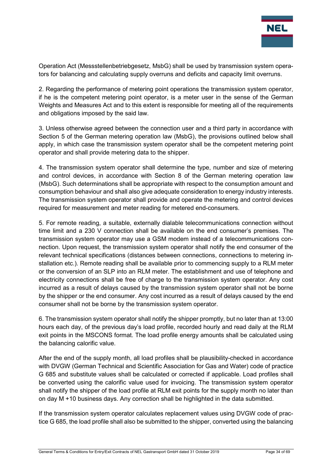

Operation Act (Messstellenbetriebgesetz, MsbG) shall be used by transmission system operators for balancing and calculating supply overruns and deficits and capacity limit overruns.

2. Regarding the performance of metering point operations the transmission system operator, if he is the competent metering point operator, is a meter user in the sense of the German Weights and Measures Act and to this extent is responsible for meeting all of the requirements and obligations imposed by the said law.

3. Unless otherwise agreed between the connection user and a third party in accordance with Section 5 of the German metering operation law (MsbG), the provisions outlined below shall apply, in which case the transmission system operator shall be the competent metering point operator and shall provide metering data to the shipper.

4. The transmission system operator shall determine the type, number and size of metering and control devices, in accordance with Section 8 of the German metering operation law (MsbG). Such determinations shall be appropriate with respect to the consumption amount and consumption behaviour and shall also give adequate consideration to energy industry interests. The transmission system operator shall provide and operate the metering and control devices required for measurement and meter reading for metered end-consumers.

5. For remote reading, a suitable, externally dialable telecommunications connection without time limit and a 230 V connection shall be available on the end consumer's premises. The transmission system operator may use a GSM modem instead of a telecommunications connection. Upon request, the transmission system operator shall notify the end consumer of the relevant technical specifications (distances between connections, connections to metering installation etc.). Remote reading shall be available prior to commencing supply to a RLM meter or the conversion of an SLP into an RLM meter. The establishment and use of telephone and electricity connections shall be free of charge to the transmission system operator. Any cost incurred as a result of delays caused by the transmission system operator shall not be borne by the shipper or the end consumer. Any cost incurred as a result of delays caused by the end consumer shall not be borne by the transmission system operator.

6. The transmission system operator shall notify the shipper promptly, but no later than at 13:00 hours each day, of the previous day's load profile, recorded hourly and read daily at the RLM exit points in the MSCONS format. The load profile energy amounts shall be calculated using the balancing calorific value.

After the end of the supply month, all load profiles shall be plausibility-checked in accordance with DVGW (German Technical and Scientific Association for Gas and Water) code of practice G 685 and substitute values shall be calculated or corrected if applicable. Load profiles shall be converted using the calorific value used for invoicing. The transmission system operator shall notify the shipper of the load profile at RLM exit points for the supply month no later than on day M +10 business days. Any correction shall be highlighted in the data submitted.

If the transmission system operator calculates replacement values using DVGW code of practice G 685, the load profile shall also be submitted to the shipper, converted using the balancing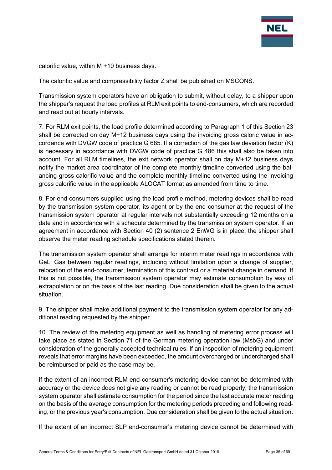

calorific value, within M +10 business days.

The calorific value and compressibility factor Z shall be published on MSCONS.

Transmission system operators have an obligation to submit, without delay, to a shipper upon the shipper's request the load profiles at RLM exit points to end-consumers, which are recorded and read out at hourly intervals.

7. For RLM exit points, the load profile determined according to Paragraph 1 of this Section 23 shall be corrected on day M+12 business days using the invoicing gross caloric value in accordance with DVGW code of practice G 685. If a correction of the gas law deviation factor (K) is necessary in accordance with DVGW code of practice G 486 this shall also be taken into account. For all RLM timelines, the exit network operator shall on day M+12 business days notify the market area coordinator of the complete monthly timeline converted using the balancing gross calorific value and the complete monthly timeline converted using the invoicing gross calorific value in the applicable ALOCAT format as amended from time to time.

8. For end consumers supplied using the load profile method, metering devices shall be read by the transmission system operator, its agent or by the end consumer at the request of the transmission system operator at regular intervals not substantially exceeding 12 months on a date and in accordance with a schedule determined by the transmission system operator. If an agreement in accordance with Section 40 (2) sentence 2 EnWG is in place, the shipper shall observe the meter reading schedule specifications stated therein.

The transmission system operator shall arrange for interim meter readings in accordance with GeLi Gas between regular readings, including without limitation upon a change of supplier, relocation of the end-consumer, termination of this contract or a material change in demand. If this is not possible, the transmission system operator may estimate consumption by way of extrapolation or on the basis of the last reading. Due consideration shall be given to the actual situation.

9. The shipper shall make additional payment to the transmission system operator for any additional reading requested by the shipper.

10. The review of the metering equipment as well as handling of metering error process will take place as stated in Section 71 of the German metering operation law (MsbG) and under consideration of the generally accepted technical rules. If an inspection of metering equipment reveals that error margins have been exceeded, the amount overcharged or undercharged shall be reimbursed or paid as the case may be.

If the extent of an incorrect RLM end-consumer's metering device cannot be determined with accuracy or the device does not give any reading or cannot be read properly, the transmission system operator shall estimate consumption for the period since the last accurate meter reading on the basis of the average consumption for the metering periods preceding and following reading, or the previous year's consumption. Due consideration shall be given to the actual situation.

If the extent of an incorrect SLP end-consumer's metering device cannot be determined with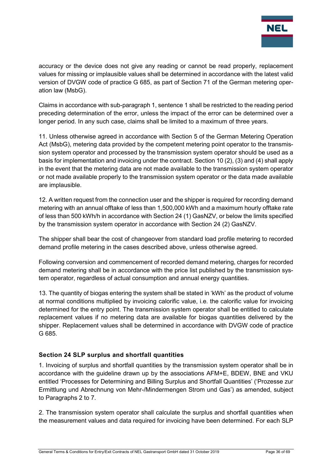

accuracy or the device does not give any reading or cannot be read properly, replacement values for missing or implausible values shall be determined in accordance with the latest valid version of DVGW code of practice G 685, as part of Section 71 of the German metering operation law (MsbG).

Claims in accordance with sub-paragraph 1, sentence 1 shall be restricted to the reading period preceding determination of the error, unless the impact of the error can be determined over a longer period. In any such case, claims shall be limited to a maximum of three years.

11. Unless otherwise agreed in accordance with Section 5 of the German Metering Operation Act (MsbG), metering data provided by the competent metering point operator to the transmission system operator and processed by the transmission system operator should be used as a basis for implementation and invoicing under the contract. Section 10 (2), (3) and (4) shall apply in the event that the metering data are not made available to the transmission system operator or not made available properly to the transmission system operator or the data made available are implausible.

12. A written request from the connection user and the shipper is required for recording demand metering with an annual offtake of less than 1,500,000 kWh and a maximum hourly offtake rate of less than 500 kWh/h in accordance with Section 24 (1) GasNZV, or below the limits specified by the transmission system operator in accordance with Section 24 (2) GasNZV.

The shipper shall bear the cost of changeover from standard load profile metering to recorded demand profile metering in the cases described above, unless otherwise agreed.

Following conversion and commencement of recorded demand metering, charges for recorded demand metering shall be in accordance with the price list published by the transmission system operator, regardless of actual consumption and annual energy quantities.

13. The quantity of biogas entering the system shall be stated in 'kWh' as the product of volume at normal conditions multiplied by invoicing calorific value, i.e. the calorific value for invoicing determined for the entry point. The transmission system operator shall be entitled to calculate replacement values if no metering data are available for biogas quantities delivered by the shipper. Replacement values shall be determined in accordance with DVGW code of practice G 685.

## <span id="page-35-0"></span>**Section 24 SLP surplus and shortfall quantities**

1. Invoicing of surplus and shortfall quantities by the transmission system operator shall be in accordance with the guideline drawn up by the associations AFM+E, BDEW, BNE and VKU entitled 'Processes for Determining and Billing Surplus and Shortfall Quantities' ('Prozesse zur Ermittlung und Abrechnung von Mehr-/Mindermengen Strom und Gas') as amended, subject to Paragraphs 2 to 7.

2. The transmission system operator shall calculate the surplus and shortfall quantities when the measurement values and data required for invoicing have been determined. For each SLP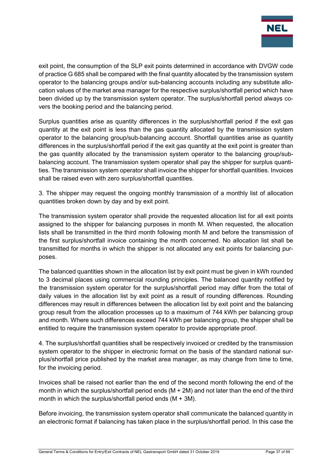

exit point, the consumption of the SLP exit points determined in accordance with DVGW code of practice G 685 shall be compared with the final quantity allocated by the transmission system operator to the balancing groups and/or sub-balancing accounts including any substitute allocation values of the market area manager for the respective surplus/shortfall period which have been divided up by the transmission system operator. The surplus/shortfall period always covers the booking period and the balancing period.

Surplus quantities arise as quantity differences in the surplus/shortfall period if the exit gas quantity at the exit point is less than the gas quantity allocated by the transmission system operator to the balancing group/sub-balancing account. Shortfall quantities arise as quantity differences in the surplus/shortfall period if the exit gas quantity at the exit point is greater than the gas quantity allocated by the transmission system operator to the balancing group/subbalancing account. The transmission system operator shall pay the shipper for surplus quantities. The transmission system operator shall invoice the shipper for shortfall quantities. Invoices shall be raised even with zero surplus/shortfall quantities.

3. The shipper may request the ongoing monthly transmission of a monthly list of allocation quantities broken down by day and by exit point.

The transmission system operator shall provide the requested allocation list for all exit points assigned to the shipper for balancing purposes in month M. When requested, the allocation lists shall be transmitted in the third month following month M and before the transmission of the first surplus/shortfall invoice containing the month concerned. No allocation list shall be transmitted for months in which the shipper is not allocated any exit points for balancing purposes.

The balanced quantities shown in the allocation list by exit point must be given in kWh rounded to 3 decimal places using commercial rounding principles. The balanced quantity notified by the transmission system operator for the surplus/shortfall period may differ from the total of daily values in the allocation list by exit point as a result of rounding differences. Rounding differences may result in differences between the allocation list by exit point and the balancing group result from the allocation processes up to a maximum of 744 kWh per balancing group and month. Where such differences exceed 744 kWh per balancing group, the shipper shall be entitled to require the transmission system operator to provide appropriate proof.

4. The surplus/shortfall quantities shall be respectively invoiced or credited by the transmission system operator to the shipper in electronic format on the basis of the standard national surplus/shortfall price published by the market area manager, as may change from time to time, for the invoicing period.

Invoices shall be raised not earlier than the end of the second month following the end of the month in which the surplus/shortfall period ends (M + 2M) and not later than the end of the third month in which the surplus/shortfall period ends  $(M + 3M)$ .

Before invoicing, the transmission system operator shall communicate the balanced quantity in an electronic format if balancing has taken place in the surplus/shortfall period. In this case the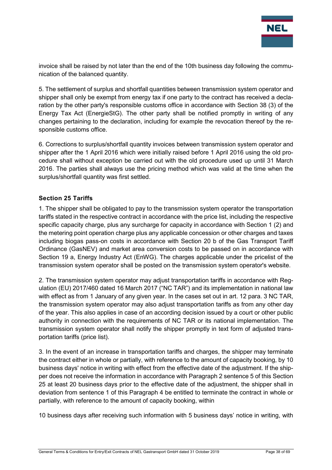

invoice shall be raised by not later than the end of the 10th business day following the communication of the balanced quantity.

5. The settlement of surplus and shortfall quantities between transmission system operator and shipper shall only be exempt from energy tax if one party to the contract has received a declaration by the other party's responsible customs office in accordance with Section 38 (3) of the Energy Tax Act (EnergieStG). The other party shall be notified promptly in writing of any changes pertaining to the declaration, including for example the revocation thereof by the responsible customs office.

6. Corrections to surplus/shortfall quantity invoices between transmission system operator and shipper after the 1 April 2016 which were initially raised before 1 April 2016 using the old procedure shall without exception be carried out with the old procedure used up until 31 March 2016. The parties shall always use the pricing method which was valid at the time when the surplus/shortfall quantity was first settled.

## <span id="page-37-0"></span>**Section 25 Tariffs**

1. The shipper shall be obligated to pay to the transmission system operator the transportation tariffs stated in the respective contract in accordance with the price list, including the respective specific capacity charge, plus any surcharge for capacity in accordance with Section 1 (2) and the metering point operation charge plus any applicable concession or other charges and taxes including biogas pass-on costs in accordance with Section 20 b of the Gas Transport Tariff Ordinance (GasNEV) and market area conversion costs to be passed on in accordance with Section 19 a, Energy Industry Act (EnWG). The charges applicable under the pricelist of the transmission system operator shall be posted on the transmission system operator's website.

2. The transmission system operator may adjust transportation tariffs in accordance with Regulation (EU) 2017/460 dated 16 March 2017 ("NC TAR") and its implementation in national law with effect as from 1 January of any given year. In the cases set out in art. 12 para, 3 NC TAR, the transmission system operator may also adjust transportation tariffs as from any other day of the year. This also applies in case of an according decision issued by a court or other public authority in connection with the requirements of NC TAR or its national implementation. The transmission system operator shall notify the shipper promptly in text form of adjusted transportation tariffs (price list).

3. In the event of an increase in transportation tariffs and charges, the shipper may terminate the contract either in whole or partially, with reference to the amount of capacity booking, by 10 business days' notice in writing with effect from the effective date of the adjustment. If the shipper does not receive the information in accordance with Paragraph 2 sentence 5 of this Section 25 at least 20 business days prior to the effective date of the adjustment, the shipper shall in deviation from sentence 1 of this Paragraph 4 be entitled to terminate the contract in whole or partially, with reference to the amount of capacity booking, within

10 business days after receiving such information with 5 business days' notice in writing, with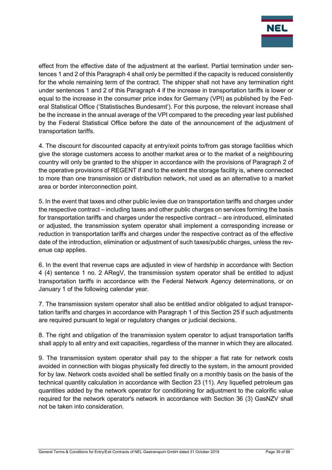

effect from the effective date of the adjustment at the earliest. Partial termination under sentences 1 and 2 of this Paragraph 4 shall only be permitted if the capacity is reduced consistently for the whole remaining term of the contract. The shipper shall not have any termination right under sentences 1 and 2 of this Paragraph 4 if the increase in transportation tariffs is lower or equal to the increase in the consumer price index for Germany (VPI) as published by the Federal Statistical Office ('Statistisches Bundesamt'). For this purpose, the relevant increase shall be the increase in the annual average of the VPI compared to the preceding year last published by the Federal Statistical Office before the date of the announcement of the adjustment of transportation tariffs.

4. The discount for discounted capacity at entry/exit points to/from gas storage facilities which give the storage customers access to another market area or to the market of a neighbouring country will only be granted to the shipper in accordance with the provisions of Paragraph 2 of the operative provisions of REGENT if and to the extent the storage facility is, where connected to more than one transmission or distribution network, not used as an alternative to a market area or border interconnection point.

5. In the event that taxes and other public levies due on transportation tariffs and charges under the respective contract – including taxes and other public charges on services forming the basis for transportation tariffs and charges under the respective contract – are introduced, eliminated or adjusted, the transmission system operator shall implement a corresponding increase or reduction in transportation tariffs and charges under the respective contract as of the effective date of the introduction, elimination or adjustment of such taxes/public charges, unless the revenue cap applies.

6. In the event that revenue caps are adjusted in view of hardship in accordance with Section 4 (4) sentence 1 no. 2 ARegV, the transmission system operator shall be entitled to adjust transportation tariffs in accordance with the Federal Network Agency determinations, or on January 1 of the following calendar year.

7. The transmission system operator shall also be entitled and/or obligated to adjust transportation tariffs and charges in accordance with Paragraph 1 of this Section 25 if such adjustments are required pursuant to legal or regulatory changes or judicial decisions.

8. The right and obligation of the transmission system operator to adjust transportation tariffs shall apply to all entry and exit capacities, regardless of the manner in which they are allocated.

9. The transmission system operator shall pay to the shipper a flat rate for network costs avoided in connection with biogas physically fed directly to the system, in the amount provided for by law. Network costs avoided shall be settled finally on a monthly basis on the basis of the technical quantity calculation in accordance with Section 23 (11). Any liquefied petroleum gas quantities added by the network operator for conditioning for adjustment to the calorific value required for the network operator's network in accordance with Section 36 (3) GasNZV shall not be taken into consideration.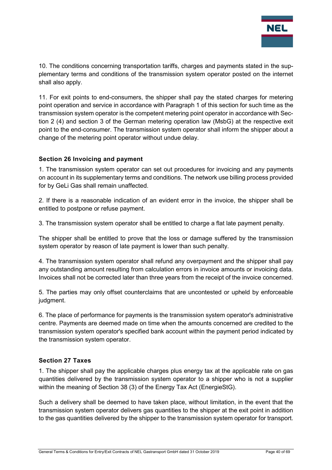

10. The conditions concerning transportation tariffs, charges and payments stated in the supplementary terms and conditions of the transmission system operator posted on the internet shall also apply.

11. For exit points to end-consumers, the shipper shall pay the stated charges for metering point operation and service in accordance with Paragraph 1 of this section for such time as the transmission system operator is the competent metering point operator in accordance with Section 2 (4) and section 3 of the German metering operation law (MsbG) at the respective exit point to the end-consumer. The transmission system operator shall inform the shipper about a change of the metering point operator without undue delay.

#### <span id="page-39-0"></span>**Section 26 Invoicing and payment**

1. The transmission system operator can set out procedures for invoicing and any payments on account in its supplementary terms and conditions. The network use billing process provided for by GeLi Gas shall remain unaffected.

2. If there is a reasonable indication of an evident error in the invoice, the shipper shall be entitled to postpone or refuse payment.

3. The transmission system operator shall be entitled to charge a flat late payment penalty.

The shipper shall be entitled to prove that the loss or damage suffered by the transmission system operator by reason of late payment is lower than such penalty.

4. The transmission system operator shall refund any overpayment and the shipper shall pay any outstanding amount resulting from calculation errors in invoice amounts or invoicing data. Invoices shall not be corrected later than three years from the receipt of the invoice concerned.

5. The parties may only offset counterclaims that are uncontested or upheld by enforceable judgment.

6. The place of performance for payments is the transmission system operator's administrative centre. Payments are deemed made on time when the amounts concerned are credited to the transmission system operator's specified bank account within the payment period indicated by the transmission system operator.

#### <span id="page-39-1"></span>**Section 27 Taxes**

1. The shipper shall pay the applicable charges plus energy tax at the applicable rate on gas quantities delivered by the transmission system operator to a shipper who is not a supplier within the meaning of Section 38 (3) of the Energy Tax Act (EnergieStG).

Such a delivery shall be deemed to have taken place, without limitation, in the event that the transmission system operator delivers gas quantities to the shipper at the exit point in addition to the gas quantities delivered by the shipper to the transmission system operator for transport.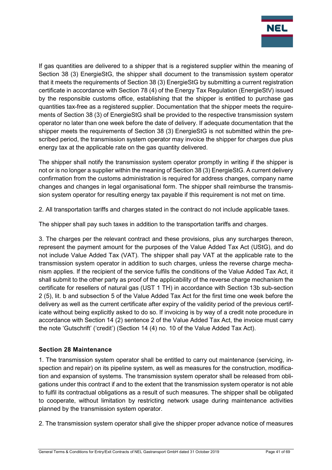

If gas quantities are delivered to a shipper that is a registered supplier within the meaning of Section 38 (3) EnergieStG, the shipper shall document to the transmission system operator that it meets the requirements of Section 38 (3) EnergieStG by submitting a current registration certificate in accordance with Section 78 (4) of the Energy Tax Regulation (EnergieStV) issued by the responsible customs office, establishing that the shipper is entitled to purchase gas quantities tax-free as a registered supplier. Documentation that the shipper meets the requirements of Section 38 (3) of EnergieStG shall be provided to the respective transmission system operator no later than one week before the date of delivery. If adequate documentation that the shipper meets the requirements of Section 38 (3) EnergieStG is not submitted within the prescribed period, the transmission system operator may invoice the shipper for charges due plus energy tax at the applicable rate on the gas quantity delivered.

The shipper shall notify the transmission system operator promptly in writing if the shipper is not or is no longer a supplier within the meaning of Section 38 (3) EnergieStG. A current delivery confirmation from the customs administration is required for address changes, company name changes and changes in legal organisational form. The shipper shall reimburse the transmission system operator for resulting energy tax payable if this requirement is not met on time.

2. All transportation tariffs and charges stated in the contract do not include applicable taxes.

The shipper shall pay such taxes in addition to the transportation tariffs and charges.

3. The charges per the relevant contract and these provisions, plus any surcharges thereon, represent the payment amount for the purposes of the Value Added Tax Act (UStG), and do not include Value Added Tax (VAT). The shipper shall pay VAT at the applicable rate to the transmission system operator in addition to such charges, unless the reverse charge mechanism applies. If the recipient of the service fulfils the conditions of the Value Added Tax Act, it shall submit to the other party as proof of the applicability of the reverse charge mechanism the certificate for resellers of natural gas (UST 1 TH) in accordance with Section 13b sub-section 2 (5), lit. b and subsection 5 of the Value Added Tax Act for the first time one week before the delivery as well as the current certificate after expiry of the validity period of the previous certificate without being explicitly asked to do so. If invoicing is by way of a credit note procedure in accordance with Section 14 (2) sentence 2 of the Value Added Tax Act, the invoice must carry the note 'Gutschrift' ('credit') (Section 14 (4) no. 10 of the Value Added Tax Act).

## <span id="page-40-0"></span>**Section 28 Maintenance**

1. The transmission system operator shall be entitled to carry out maintenance (servicing, inspection and repair) on its pipeline system, as well as measures for the construction, modification and expansion of systems. The transmission system operator shall be released from obligations under this contract if and to the extent that the transmission system operator is not able to fulfil its contractual obligations as a result of such measures. The shipper shall be obligated to cooperate, without limitation by restricting network usage during maintenance activities planned by the transmission system operator.

2. The transmission system operator shall give the shipper proper advance notice of measures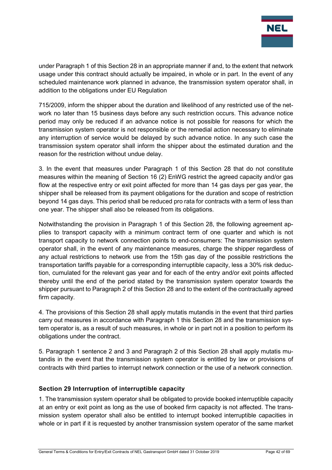

under Paragraph 1 of this Section 28 in an appropriate manner if and, to the extent that network usage under this contract should actually be impaired, in whole or in part. In the event of any scheduled maintenance work planned in advance, the transmission system operator shall, in addition to the obligations under EU Regulation

715/2009, inform the shipper about the duration and likelihood of any restricted use of the network no later than 15 business days before any such restriction occurs. This advance notice period may only be reduced if an advance notice is not possible for reasons for which the transmission system operator is not responsible or the remedial action necessary to eliminate any interruption of service would be delayed by such advance notice. In any such case the transmission system operator shall inform the shipper about the estimated duration and the reason for the restriction without undue delay.

3. In the event that measures under Paragraph 1 of this Section 28 that do not constitute measures within the meaning of Section 16 (2) EnWG restrict the agreed capacity and/or gas flow at the respective entry or exit point affected for more than 14 gas days per gas year, the shipper shall be released from its payment obligations for the duration and scope of restriction beyond 14 gas days. This period shall be reduced pro rata for contracts with a term of less than one year. The shipper shall also be released from its obligations.

Notwithstanding the provision in Paragraph 1 of this Section 28, the following agreement applies to transport capacity with a minimum contract term of one quarter and which is not transport capacity to network connection points to end-consumers: The transmission system operator shall, in the event of any maintenance measures, charge the shipper regardless of any actual restrictions to network use from the 15th gas day of the possible restrictions the transportation tariffs payable for a corresponding interruptible capacity, less a 30% risk deduction, cumulated for the relevant gas year and for each of the entry and/or exit points affected thereby until the end of the period stated by the transmission system operator towards the shipper pursuant to Paragraph 2 of this Section 28 and to the extent of the contractually agreed firm capacity.

4. The provisions of this Section 28 shall apply mutatis mutandis in the event that third parties carry out measures in accordance with Paragraph 1 this Section 28 and the transmission system operator is, as a result of such measures, in whole or in part not in a position to perform its obligations under the contract.

5. Paragraph 1 sentence 2 and 3 and Paragraph 2 of this Section 28 shall apply mutatis mutandis in the event that the transmission system operator is entitled by law or provisions of contracts with third parties to interrupt network connection or the use of a network connection.

## <span id="page-41-0"></span>**Section 29 Interruption of interruptible capacity**

1. The transmission system operator shall be obligated to provide booked interruptible capacity at an entry or exit point as long as the use of booked firm capacity is not affected. The transmission system operator shall also be entitled to interrupt booked interruptible capacities in whole or in part if it is requested by another transmission system operator of the same market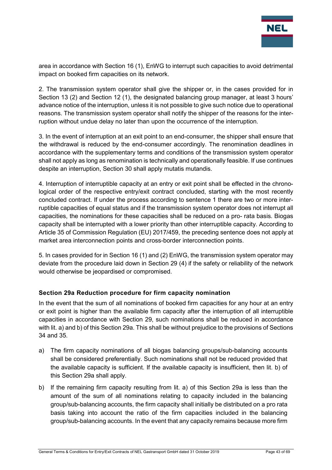

area in accordance with Section 16 (1), EnWG to interrupt such capacities to avoid detrimental impact on booked firm capacities on its network.

2. The transmission system operator shall give the shipper or, in the cases provided for in Section 13 (2) and Section 12 (1), the designated balancing group manager, at least 3 hours' advance notice of the interruption, unless it is not possible to give such notice due to operational reasons. The transmission system operator shall notify the shipper of the reasons for the interruption without undue delay no later than upon the occurrence of the interruption.

3. In the event of interruption at an exit point to an end-consumer, the shipper shall ensure that the withdrawal is reduced by the end-consumer accordingly. The renomination deadlines in accordance with the supplementary terms and conditions of the transmission system operator shall not apply as long as renomination is technically and operationally feasible. If use continues despite an interruption, Section 30 shall apply mutatis mutandis.

4. Interruption of interruptible capacity at an entry or exit point shall be effected in the chronological order of the respective entry/exit contract concluded, starting with the most recently concluded contract. If under the process according to sentence 1 there are two or more interruptible capacities of equal status and if the transmission system operator does not interrupt all capacities, the nominations for these capacities shall be reduced on a pro- rata basis. Biogas capacity shall be interrupted with a lower priority than other interruptible capacity. According to Article 35 of Commission Regulation (EU) 2017/459, the preceding sentence does not apply at market area interconnection points and cross-border interconnection points.

5. In cases provided for in Section 16 (1) and (2) EnWG, the transmission system operator may deviate from the procedure laid down in Section 29 (4) if the safety or reliability of the network would otherwise be jeopardised or compromised.

## <span id="page-42-0"></span>**Section 29a Reduction procedure for firm capacity nomination**

In the event that the sum of all nominations of booked firm capacities for any hour at an entry or exit point is higher than the available firm capacity after the interruption of all interruptible capacities in accordance with Section 29, such nominations shall be reduced in accordance with lit. a) and b) of this Section 29a. This shall be without prejudice to the provisions of Sections 34 and 35.

- a) The firm capacity nominations of all biogas balancing groups/sub-balancing accounts shall be considered preferentially. Such nominations shall not be reduced provided that the available capacity is sufficient. If the available capacity is insufficient, then lit. b) of this Section 29a shall apply.
- b) If the remaining firm capacity resulting from lit. a) of this Section 29a is less than the amount of the sum of all nominations relating to capacity included in the balancing group/sub-balancing accounts, the firm capacity shall initially be distributed on a pro rata basis taking into account the ratio of the firm capacities included in the balancing group/sub-balancing accounts. In the event that any capacity remains because more firm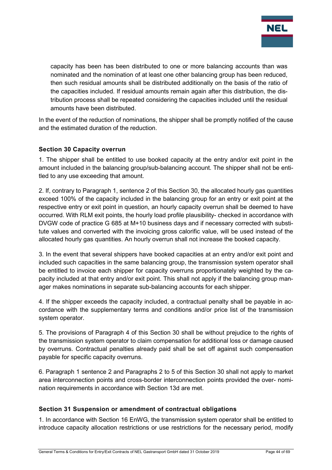

capacity has been has been distributed to one or more balancing accounts than was nominated and the nomination of at least one other balancing group has been reduced, then such residual amounts shall be distributed additionally on the basis of the ratio of the capacities included. If residual amounts remain again after this distribution, the distribution process shall be repeated considering the capacities included until the residual amounts have been distributed.

In the event of the reduction of nominations, the shipper shall be promptly notified of the cause and the estimated duration of the reduction.

#### <span id="page-43-0"></span>**Section 30 Capacity overrun**

1. The shipper shall be entitled to use booked capacity at the entry and/or exit point in the amount included in the balancing group/sub-balancing account. The shipper shall not be entitled to any use exceeding that amount.

2. If, contrary to Paragraph 1, sentence 2 of this Section 30, the allocated hourly gas quantities exceed 100% of the capacity included in the balancing group for an entry or exit point at the respective entry or exit point in question, an hourly capacity overrun shall be deemed to have occurred. With RLM exit points, the hourly load profile plausibility- checked in accordance with DVGW code of practice G 685 at M+10 business days and if necessary corrected with substitute values and converted with the invoicing gross calorific value, will be used instead of the allocated hourly gas quantities. An hourly overrun shall not increase the booked capacity.

3. In the event that several shippers have booked capacities at an entry and/or exit point and included such capacities in the same balancing group, the transmission system operator shall be entitled to invoice each shipper for capacity overruns proportionately weighted by the capacity included at that entry and/or exit point. This shall not apply if the balancing group manager makes nominations in separate sub-balancing accounts for each shipper.

4. If the shipper exceeds the capacity included, a contractual penalty shall be payable in accordance with the supplementary terms and conditions and/or price list of the transmission system operator.

5. The provisions of Paragraph 4 of this Section 30 shall be without prejudice to the rights of the transmission system operator to claim compensation for additional loss or damage caused by overruns. Contractual penalties already paid shall be set off against such compensation payable for specific capacity overruns.

6. Paragraph 1 sentence 2 and Paragraphs 2 to 5 of this Section 30 shall not apply to market area interconnection points and cross-border interconnection points provided the over- nomination requirements in accordance with Section 13d are met.

#### <span id="page-43-1"></span>**Section 31 Suspension or amendment of contractual obligations**

1. In accordance with Section 16 EnWG, the transmission system operator shall be entitled to introduce capacity allocation restrictions or use restrictions for the necessary period, modify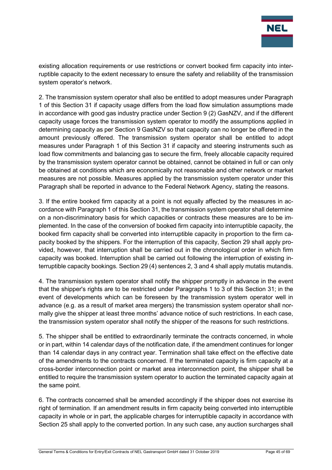

existing allocation requirements or use restrictions or convert booked firm capacity into interruptible capacity to the extent necessary to ensure the safety and reliability of the transmission system operator's network.

2. The transmission system operator shall also be entitled to adopt measures under Paragraph 1 of this Section 31 if capacity usage differs from the load flow simulation assumptions made in accordance with good gas industry practice under Section 9 (2) GasNZV, and if the different capacity usage forces the transmission system operator to modify the assumptions applied in determining capacity as per Section 9 GasNZV so that capacity can no longer be offered in the amount previously offered. The transmission system operator shall be entitled to adopt measures under Paragraph 1 of this Section 31 if capacity and steering instruments such as load flow commitments and balancing gas to secure the firm, freely allocable capacity required by the transmission system operator cannot be obtained, cannot be obtained in full or can only be obtained at conditions which are economically not reasonable and other network or market measures are not possible. Measures applied by the transmission system operator under this Paragraph shall be reported in advance to the Federal Network Agency, stating the reasons.

3. If the entire booked firm capacity at a point is not equally affected by the measures in accordance with Paragraph 1 of this Section 31, the transmission system operator shall determine on a non-discriminatory basis for which capacities or contracts these measures are to be implemented. In the case of the conversion of booked firm capacity into interruptible capacity, the booked firm capacity shall be converted into interruptible capacity in proportion to the firm capacity booked by the shippers. For the interruption of this capacity, Section 29 shall apply provided, however, that interruption shall be carried out in the chronological order in which firm capacity was booked. Interruption shall be carried out following the interruption of existing interruptible capacity bookings. Section 29 (4) sentences 2, 3 and 4 shall apply mutatis mutandis.

4. The transmission system operator shall notify the shipper promptly in advance in the event that the shipper's rights are to be restricted under Paragraphs 1 to 3 of this Section 31; in the event of developments which can be foreseen by the transmission system operator well in advance (e.g. as a result of market area mergers) the transmission system operator shall normally give the shipper at least three months' advance notice of such restrictions. In each case, the transmission system operator shall notify the shipper of the reasons for such restrictions.

5. The shipper shall be entitled to extraordinarily terminate the contracts concerned, in whole or in part, within 14 calendar days of the notification date, if the amendment continues for longer than 14 calendar days in any contract year. Termination shall take effect on the effective date of the amendments to the contracts concerned. If the terminated capacity is firm capacity at a cross-border interconnection point or market area interconnection point, the shipper shall be entitled to require the transmission system operator to auction the terminated capacity again at the same point.

6. The contracts concerned shall be amended accordingly if the shipper does not exercise its right of termination. If an amendment results in firm capacity being converted into interruptible capacity in whole or in part, the applicable charges for interruptible capacity in accordance with Section 25 shall apply to the converted portion. In any such case, any auction surcharges shall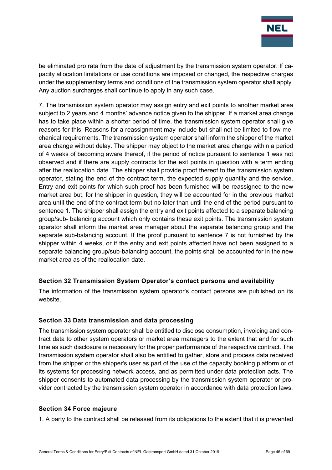

be eliminated pro rata from the date of adjustment by the transmission system operator. If capacity allocation limitations or use conditions are imposed or changed, the respective charges under the supplementary terms and conditions of the transmission system operator shall apply. Any auction surcharges shall continue to apply in any such case.

7. The transmission system operator may assign entry and exit points to another market area subject to 2 years and 4 months' advance notice given to the shipper. If a market area change has to take place within a shorter period of time, the transmission system operator shall give reasons for this. Reasons for a reassignment may include but shall not be limited to flow-mechanical requirements. The transmission system operator shall inform the shipper of the market area change without delay. The shipper may object to the market area change within a period of 4 weeks of becoming aware thereof, if the period of notice pursuant to sentence 1 was not observed and if there are supply contracts for the exit points in question with a term ending after the reallocation date. The shipper shall provide proof thereof to the transmission system operator, stating the end of the contract term, the expected supply quantity and the service. Entry and exit points for which such proof has been furnished will be reassigned to the new market area but, for the shipper in question, they will be accounted for in the previous market area until the end of the contract term but no later than until the end of the period pursuant to sentence 1. The shipper shall assign the entry and exit points affected to a separate balancing group/sub- balancing account which only contains these exit points. The transmission system operator shall inform the market area manager about the separate balancing group and the separate sub-balancing account. If the proof pursuant to sentence 7 is not furnished by the shipper within 4 weeks, or if the entry and exit points affected have not been assigned to a separate balancing group/sub-balancing account, the points shall be accounted for in the new market area as of the reallocation date.

## <span id="page-45-0"></span>**Section 32 Transmission System Operator's contact persons and availability**

The information of the transmission system operator's contact persons are published on its website.

## <span id="page-45-1"></span>**Section 33 Data transmission and data processing**

The transmission system operator shall be entitled to disclose consumption, invoicing and contract data to other system operators or market area managers to the extent that and for such time as such disclosure is necessary for the proper performance of the respective contract. The transmission system operator shall also be entitled to gather, store and process data received from the shipper or the shipper's user as part of the use of the capacity booking platform or of its systems for processing network access, and as permitted under data protection acts. The shipper consents to automated data processing by the transmission system operator or provider contracted by the transmission system operator in accordance with data protection laws.

#### <span id="page-45-2"></span>**Section 34 Force majeure**

1. A party to the contract shall be released from its obligations to the extent that it is prevented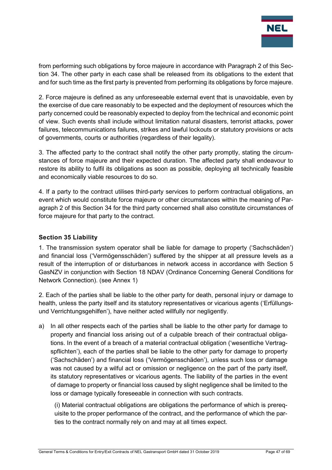

from performing such obligations by force majeure in accordance with Paragraph 2 of this Section 34. The other party in each case shall be released from its obligations to the extent that and for such time as the first party is prevented from performing its obligations by force majeure.

2. Force majeure is defined as any unforeseeable external event that is unavoidable, even by the exercise of due care reasonably to be expected and the deployment of resources which the party concerned could be reasonably expected to deploy from the technical and economic point of view. Such events shall include without limitation natural disasters, terrorist attacks, power failures, telecommunications failures, strikes and lawful lockouts or statutory provisions or acts of governments, courts or authorities (regardless of their legality).

3. The affected party to the contract shall notify the other party promptly, stating the circumstances of force majeure and their expected duration. The affected party shall endeavour to restore its ability to fulfil its obligations as soon as possible, deploying all technically feasible and economically viable resources to do so.

4. If a party to the contract utilises third-party services to perform contractual obligations, an event which would constitute force majeure or other circumstances within the meaning of Paragraph 2 of this Section 34 for the third party concerned shall also constitute circumstances of force majeure for that party to the contract.

## <span id="page-46-0"></span>**Section 35 Liability**

1. The transmission system operator shall be liable for damage to property ('Sachschäden') and financial loss ('Vermögensschäden') suffered by the shipper at all pressure levels as a result of the interruption of or disturbances in network access in accordance with Section 5 GasNZV in conjunction with Section 18 NDAV (Ordinance Concerning General Conditions for Network Connection). (see Annex 1)

2. Each of the parties shall be liable to the other party for death, personal injury or damage to health, unless the party itself and its statutory representatives or vicarious agents ('Erfüllungsund Verrichtungsgehilfen'), have neither acted willfully nor negligently.

a) In all other respects each of the parties shall be liable to the other party for damage to property and financial loss arising out of a culpable breach of their contractual obligations. In the event of a breach of a material contractual obligation ('wesentliche Vertragspflichten'), each of the parties shall be liable to the other party for damage to property ('Sachschäden') and financial loss ('Vermögensschäden'), unless such loss or damage was not caused by a wilful act or omission or negligence on the part of the party itself, its statutory representatives or vicarious agents. The liability of the parties in the event of damage to property or financial loss caused by slight negligence shall be limited to the loss or damage typically foreseeable in connection with such contracts.

(i) Material contractual obligations are obligations the performance of which is prerequisite to the proper performance of the contract, and the performance of which the parties to the contract normally rely on and may at all times expect.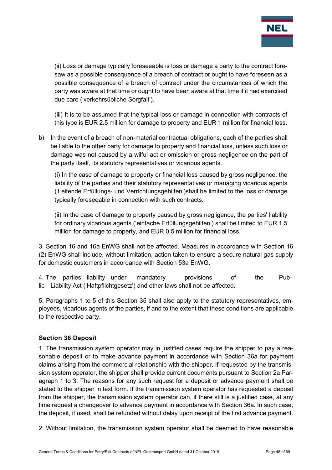

(ii) Loss or damage typically foreseeable is loss or damage a party to the contract foresaw as a possible consequence of a breach of contract or ought to have foreseen as a possible consequence of a breach of contract under the circumstances of which the party was aware at that time or ought to have been aware at that time if it had exercised due care ('verkehrsübliche Sorgfalt').

(iii) It is to be assumed that the typical loss or damage in connection with contracts of this type is EUR 2.5 million for damage to property and EUR 1 million for financial loss.

b) In the event of a breach of non-material contractual obligations, each of the parties shall be liable to the other party for damage to property and financial loss, unless such loss or damage was not caused by a wilful act or omission or gross negligence on the part of the party itself, its statutory representatives or vicarious agents.

(i) In the case of damage to property or financial loss caused by gross negligence, the liability of the parties and their statutory representatives or managing vicarious agents ('Leitende Erfüllungs- und Verrichtungsgehilfen')shall be limited to the loss or damage typically foreseeable in connection with such contracts.

(ii) In the case of damage to property caused by gross negligence, the parties' liability for ordinary vicarious agents ('einfache Erfüllungsgehilfen') shall be limited to EUR 1.5 million for damage to property, and EUR 0.5 million for financial loss.

3. Section 16 and 16a EnWG shall not be affected. Measures in accordance with Section 16 (2) EnWG shall include, without limitation, action taken to ensure a secure natural gas supply for domestic customers in accordance with Section 53a EnWG.

4. The parties' liability under mandatory provisions of the Public Liability Act ('Haftpflichtgesetz') and other laws shall not be affected.

5. Paragraphs 1 to 5 of this Section 35 shall also apply to the statutory representatives, employees, vicarious agents of the parties, if and to the extent that these conditions are applicable to the respective party.

## <span id="page-47-0"></span>**Section 36 Deposit**

1. The transmission system operator may in justified cases require the shipper to pay a reasonable deposit or to make advance payment in accordance with Section 36a for payment claims arising from the commercial relationship with the shipper. If requested by the transmission system operator, the shipper shall provide current documents pursuant to Section 2a Paragraph 1 to 3. The reasons for any such request for a deposit or advance payment shall be stated to the shipper in text form. If the transmission system operator has requested a deposit from the shipper, the transmission system operator can, if there still is a justified case, at any time request a changeover to advance payment in accordance with Section 36a. In such case, the deposit, if used, shall be refunded without delay upon receipt of the first advance payment.

2. Without limitation, the transmission system operator shall be deemed to have reasonable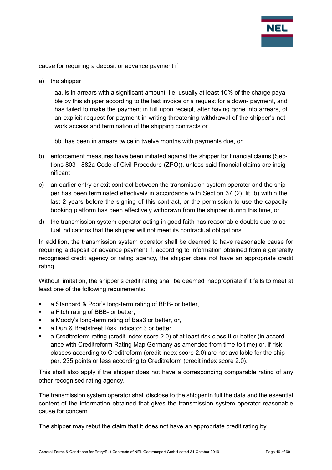

cause for requiring a deposit or advance payment if:

a) the shipper

aa. is in arrears with a significant amount, i.e. usually at least 10% of the charge payable by this shipper according to the last invoice or a request for a down- payment, and has failed to make the payment in full upon receipt, after having gone into arrears, of an explicit request for payment in writing threatening withdrawal of the shipper's network access and termination of the shipping contracts or

bb. has been in arrears twice in twelve months with payments due, or

- b) enforcement measures have been initiated against the shipper for financial claims (Sections 803 - 882a Code of Civil Procedure (ZPO)), unless said financial claims are insignificant
- c) an earlier entry or exit contract between the transmission system operator and the shipper has been terminated effectively in accordance with Section 37 (2), lit. b) within the last 2 years before the signing of this contract, or the permission to use the capacity booking platform has been effectively withdrawn from the shipper during this time, or
- d) the transmission system operator acting in good faith has reasonable doubts due to actual indications that the shipper will not meet its contractual obligations.

In addition, the transmission system operator shall be deemed to have reasonable cause for requiring a deposit or advance payment if, according to information obtained from a generally recognised credit agency or rating agency, the shipper does not have an appropriate credit rating.

Without limitation, the shipper's credit rating shall be deemed inappropriate if it fails to meet at least one of the following requirements:

- a Standard & Poor's long-term rating of BBB- or better,
- a Fitch rating of BBB- or better,
- a Moody's long-term rating of Baa3 or better, or,
- a Dun & Bradstreet Risk Indicator 3 or better
- a Creditreform rating (credit index score 2.0) of at least risk class II or better (in accordance with Creditreform Rating Map Germany as amended from time to time) or, if risk classes according to Creditreform (credit index score 2.0) are not available for the shipper, 235 points or less according to Creditreform (credit index score 2.0).

This shall also apply if the shipper does not have a corresponding comparable rating of any other recognised rating agency.

The transmission system operator shall disclose to the shipper in full the data and the essential content of the information obtained that gives the transmission system operator reasonable cause for concern.

The shipper may rebut the claim that it does not have an appropriate credit rating by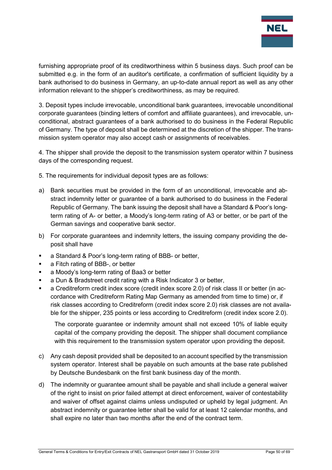

furnishing appropriate proof of its creditworthiness within 5 business days. Such proof can be submitted e.g. in the form of an auditor's certificate, a confirmation of sufficient liquidity by a bank authorised to do business in Germany, an up-to-date annual report as well as any other information relevant to the shipper's creditworthiness, as may be required.

3. Deposit types include irrevocable, unconditional bank guarantees, irrevocable unconditional corporate guarantees (binding letters of comfort and affiliate guarantees), and irrevocable, unconditional, abstract guarantees of a bank authorised to do business in the Federal Republic of Germany. The type of deposit shall be determined at the discretion of the shipper. The transmission system operator may also accept cash or assignments of receivables.

4. The shipper shall provide the deposit to the transmission system operator within 7 business days of the corresponding request.

5. The requirements for individual deposit types are as follows:

- a) Bank securities must be provided in the form of an unconditional, irrevocable and abstract indemnity letter or guarantee of a bank authorised to do business in the Federal Republic of Germany. The bank issuing the deposit shall have a Standard & Poor's longterm rating of A- or better, a Moody's long-term rating of A3 or better, or be part of the German savings and cooperative bank sector.
- b) For corporate guarantees and indemnity letters, the issuing company providing the deposit shall have
- a Standard & Poor's long-term rating of BBB- or better,
- a Fitch rating of BBB-, or better
- a Moody's long-term rating of Baa3 or better
- a Dun & Bradstreet credit rating with a Risk Indicator 3 or better,
- a Creditreform credit index score (credit index score 2.0) of risk class II or better (in accordance with Creditreform Rating Map Germany as amended from time to time) or, if risk classes according to Creditreform (credit index score 2.0) risk classes are not available for the shipper, 235 points or less according to Creditreform (credit index score 2.0).

The corporate guarantee or indemnity amount shall not exceed 10% of liable equity capital of the company providing the deposit. The shipper shall document compliance with this requirement to the transmission system operator upon providing the deposit.

- c) Any cash deposit provided shall be deposited to an account specified by the transmission system operator. Interest shall be payable on such amounts at the base rate published by Deutsche Bundesbank on the first bank business day of the month.
- d) The indemnity or guarantee amount shall be payable and shall include a general waiver of the right to insist on prior failed attempt at direct enforcement, waiver of contestability and waiver of offset against claims unless undisputed or upheld by legal judgment. An abstract indemnity or guarantee letter shall be valid for at least 12 calendar months, and shall expire no later than two months after the end of the contract term.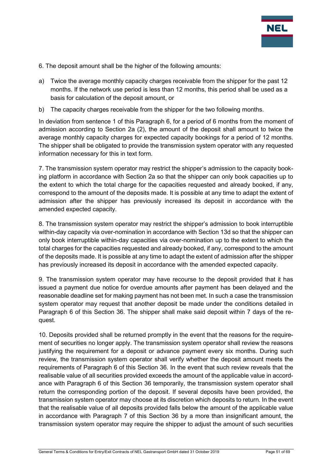

- 6. The deposit amount shall be the higher of the following amounts:
- a) Twice the average monthly capacity charges receivable from the shipper for the past 12 months. If the network use period is less than 12 months, this period shall be used as a basis for calculation of the deposit amount, or
- b) The capacity charges receivable from the shipper for the two following months.

In deviation from sentence 1 of this Paragraph 6, for a period of 6 months from the moment of admission according to Section 2a (2), the amount of the deposit shall amount to twice the average monthly capacity charges for expected capacity bookings for a period of 12 months. The shipper shall be obligated to provide the transmission system operator with any requested information necessary for this in text form.

7. The transmission system operator may restrict the shipper's admission to the capacity booking platform in accordance with Section 2a so that the shipper can only book capacities up to the extent to which the total charge for the capacities requested and already booked, if any, correspond to the amount of the deposits made. It is possible at any time to adapt the extent of admission after the shipper has previously increased its deposit in accordance with the amended expected capacity.

8. The transmission system operator may restrict the shipper's admission to book interruptible within-day capacity via over-nomination in accordance with Section 13d so that the shipper can only book interruptible within-day capacities via over-nomination up to the extent to which the total charges for the capacities requested and already booked, if any, correspond to the amount of the deposits made. It is possible at any time to adapt the extent of admission after the shipper has previously increased its deposit in accordance with the amended expected capacity.

9. The transmission system operator may have recourse to the deposit provided that it has issued a payment due notice for overdue amounts after payment has been delayed and the reasonable deadline set for making payment has not been met. In such a case the transmission system operator may request that another deposit be made under the conditions detailed in Paragraph 6 of this Section 36. The shipper shall make said deposit within 7 days of the request.

10. Deposits provided shall be returned promptly in the event that the reasons for the requirement of securities no longer apply. The transmission system operator shall review the reasons justifying the requirement for a deposit or advance payment every six months. During such review, the transmission system operator shall verify whether the deposit amount meets the requirements of Paragraph 6 of this Section 36. In the event that such review reveals that the realisable value of all securities provided exceeds the amount of the applicable value in accordance with Paragraph 6 of this Section 36 temporarily, the transmission system operator shall return the corresponding portion of the deposit. If several deposits have been provided, the transmission system operator may choose at its discretion which deposits to return. In the event that the realisable value of all deposits provided falls below the amount of the applicable value in accordance with Paragraph 7 of this Section 36 by a more than insignificant amount, the transmission system operator may require the shipper to adjust the amount of such securities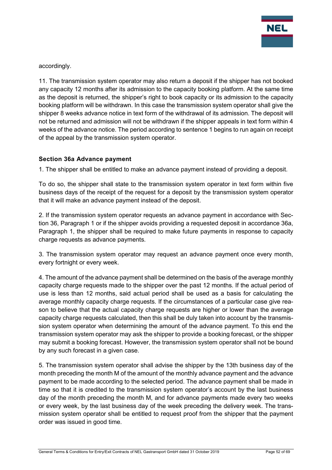

accordingly.

11. The transmission system operator may also return a deposit if the shipper has not booked any capacity 12 months after its admission to the capacity booking platform. At the same time as the deposit is returned, the shipper's right to book capacity or its admission to the capacity booking platform will be withdrawn. In this case the transmission system operator shall give the shipper 8 weeks advance notice in text form of the withdrawal of its admission. The deposit will not be returned and admission will not be withdrawn if the shipper appeals in text form within 4 weeks of the advance notice. The period according to sentence 1 begins to run again on receipt of the appeal by the transmission system operator.

#### <span id="page-51-0"></span>**Section 36a Advance payment**

1. The shipper shall be entitled to make an advance payment instead of providing a deposit.

To do so, the shipper shall state to the transmission system operator in text form within five business days of the receipt of the request for a deposit by the transmission system operator that it will make an advance payment instead of the deposit.

2. If the transmission system operator requests an advance payment in accordance with Section 36, Paragraph 1 or if the shipper avoids providing a requested deposit in accordance 36a, Paragraph 1, the shipper shall be required to make future payments in response to capacity charge requests as advance payments.

3. The transmission system operator may request an advance payment once every month, every fortnight or every week.

4. The amount of the advance payment shall be determined on the basis of the average monthly capacity charge requests made to the shipper over the past 12 months. If the actual period of use is less than 12 months, said actual period shall be used as a basis for calculating the average monthly capacity charge requests. If the circumstances of a particular case give reason to believe that the actual capacity charge requests are higher or lower than the average capacity charge requests calculated, then this shall be duly taken into account by the transmission system operator when determining the amount of the advance payment. To this end the transmission system operator may ask the shipper to provide a booking forecast, or the shipper may submit a booking forecast. However, the transmission system operator shall not be bound by any such forecast in a given case.

5. The transmission system operator shall advise the shipper by the 13th business day of the month preceding the month M of the amount of the monthly advance payment and the advance payment to be made according to the selected period. The advance payment shall be made in time so that it is credited to the transmission system operator's account by the last business day of the month preceding the month M, and for advance payments made every two weeks or every week, by the last business day of the week preceding the delivery week. The transmission system operator shall be entitled to request proof from the shipper that the payment order was issued in good time.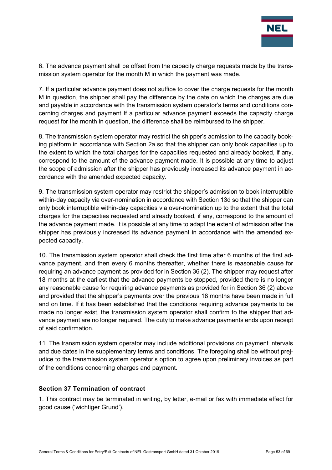

6. The advance payment shall be offset from the capacity charge requests made by the transmission system operator for the month M in which the payment was made.

7. If a particular advance payment does not suffice to cover the charge requests for the month M in question, the shipper shall pay the difference by the date on which the charges are due and payable in accordance with the transmission system operator's terms and conditions concerning charges and payment If a particular advance payment exceeds the capacity charge request for the month in question, the difference shall be reimbursed to the shipper.

8. The transmission system operator may restrict the shipper's admission to the capacity booking platform in accordance with Section 2a so that the shipper can only book capacities up to the extent to which the total charges for the capacities requested and already booked, if any, correspond to the amount of the advance payment made. It is possible at any time to adjust the scope of admission after the shipper has previously increased its advance payment in accordance with the amended expected capacity.

9. The transmission system operator may restrict the shipper's admission to book interruptible within-day capacity via over-nomination in accordance with Section 13d so that the shipper can only book interruptible within-day capacities via over-nomination up to the extent that the total charges for the capacities requested and already booked, if any, correspond to the amount of the advance payment made. It is possible at any time to adapt the extent of admission after the shipper has previously increased its advance payment in accordance with the amended expected capacity.

10. The transmission system operator shall check the first time after 6 months of the first advance payment, and then every 6 months thereafter, whether there is reasonable cause for requiring an advance payment as provided for in Section 36 (2). The shipper may request after 18 months at the earliest that the advance payments be stopped, provided there is no longer any reasonable cause for requiring advance payments as provided for in Section 36 (2) above and provided that the shipper's payments over the previous 18 months have been made in full and on time. If it has been established that the conditions requiring advance payments to be made no longer exist, the transmission system operator shall confirm to the shipper that advance payment are no longer required. The duty to make advance payments ends upon receipt of said confirmation.

11. The transmission system operator may include additional provisions on payment intervals and due dates in the supplementary terms and conditions. The foregoing shall be without prejudice to the transmission system operator's option to agree upon preliminary invoices as part of the conditions concerning charges and payment.

## <span id="page-52-0"></span>**Section 37 Termination of contract**

1. This contract may be terminated in writing, by letter, e-mail or fax with immediate effect for good cause ('wichtiger Grund').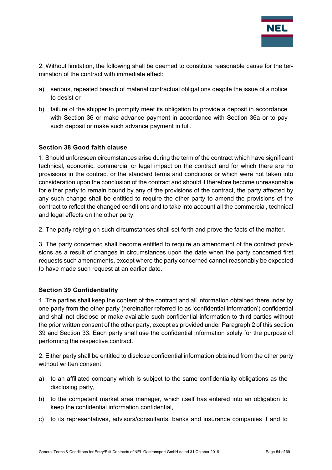

2. Without limitation, the following shall be deemed to constitute reasonable cause for the termination of the contract with immediate effect:

- a) serious, repeated breach of material contractual obligations despite the issue of a notice to desist or
- b) failure of the shipper to promptly meet its obligation to provide a deposit in accordance with Section 36 or make advance payment in accordance with Section 36a or to pay such deposit or make such advance payment in full.

#### <span id="page-53-0"></span>**Section 38 Good faith clause**

1. Should unforeseen circumstances arise during the term of the contract which have significant technical, economic, commercial or legal impact on the contract and for which there are no provisions in the contract or the standard terms and conditions or which were not taken into consideration upon the conclusion of the contract and should it therefore become unreasonable for either party to remain bound by any of the provisions of the contract, the party affected by any such change shall be entitled to require the other party to amend the provisions of the contract to reflect the changed conditions and to take into account all the commercial, technical and legal effects on the other party.

2. The party relying on such circumstances shall set forth and prove the facts of the matter.

3. The party concerned shall become entitled to require an amendment of the contract provisions as a result of changes in circumstances upon the date when the party concerned first requests such amendments, except where the party concerned cannot reasonably be expected to have made such request at an earlier date.

## <span id="page-53-1"></span>**Section 39 Confidentiality**

1. The parties shall keep the content of the contract and all information obtained thereunder by one party from the other party (hereinafter referred to as 'confidential information') confidential and shall not disclose or make available such confidential information to third parties without the prior written consent of the other party, except as provided under Paragraph 2 of this section 39 and Section 33. Each party shall use the confidential information solely for the purpose of performing the respective contract.

2. Either party shall be entitled to disclose confidential information obtained from the other party without written consent:

- a) to an affiliated company which is subject to the same confidentiality obligations as the disclosing party,
- b) to the competent market area manager, which itself has entered into an obligation to keep the confidential information confidential,
- c) to its representatives, advisors/consultants, banks and insurance companies if and to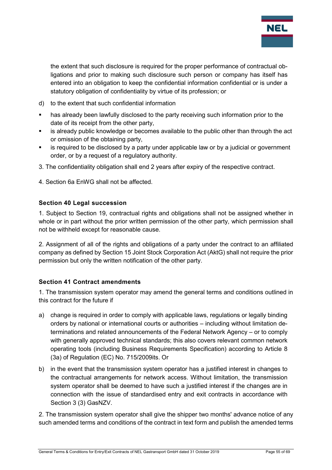

the extent that such disclosure is required for the proper performance of contractual obligations and prior to making such disclosure such person or company has itself has entered into an obligation to keep the confidential information confidential or is under a statutory obligation of confidentiality by virtue of its profession; or

- d) to the extent that such confidential information
- has already been lawfully disclosed to the party receiving such information prior to the date of its receipt from the other party,
- is already public knowledge or becomes available to the public other than through the act or omission of the obtaining party,
- is required to be disclosed by a party under applicable law or by a judicial or government order, or by a request of a regulatory authority.
- 3. The confidentiality obligation shall end 2 years after expiry of the respective contract.
- 4. Section 6a EnWG shall not be affected.

#### <span id="page-54-0"></span>**Section 40 Legal succession**

1. Subject to Section 19, contractual rights and obligations shall not be assigned whether in whole or in part without the prior written permission of the other party, which permission shall not be withheld except for reasonable cause.

2. Assignment of all of the rights and obligations of a party under the contract to an affiliated company as defined by Section 15 Joint Stock Corporation Act (AktG) shall not require the prior permission but only the written notification of the other party.

#### <span id="page-54-1"></span>**Section 41 Contract amendments**

1. The transmission system operator may amend the general terms and conditions outlined in this contract for the future if

- a) change is required in order to comply with applicable laws, regulations or legally binding orders by national or international courts or authorities – including without limitation determinations and related announcements of the Federal Network Agency – or to comply with generally approved technical standards; this also covers relevant common network operating tools (including Business Requirements Specification) according to Article 8 (3a) of Regulation (EC) No. 715/2009its. Or
- b) in the event that the transmission system operator has a justified interest in changes to the contractual arrangements for network access. Without limitation, the transmission system operator shall be deemed to have such a justified interest if the changes are in connection with the issue of standardised entry and exit contracts in accordance with Section 3 (3) GasNZV.

2. The transmission system operator shall give the shipper two months' advance notice of any such amended terms and conditions of the contract in text form and publish the amended terms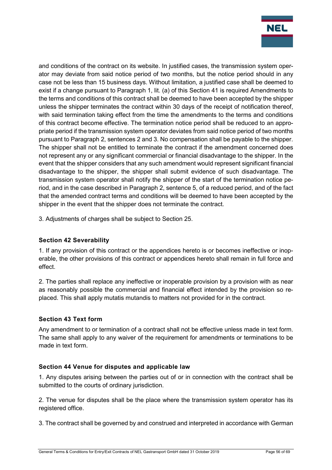

and conditions of the contract on its website. In justified cases, the transmission system operator may deviate from said notice period of two months, but the notice period should in any case not be less than 15 business days. Without limitation, a justified case shall be deemed to exist if a change pursuant to Paragraph 1, lit. (a) of this Section 41 is required Amendments to the terms and conditions of this contract shall be deemed to have been accepted by the shipper unless the shipper terminates the contract within 30 days of the receipt of notification thereof, with said termination taking effect from the time the amendments to the terms and conditions of this contract become effective. The termination notice period shall be reduced to an appropriate period if the transmission system operator deviates from said notice period of two months pursuant to Paragraph 2, sentences 2 and 3. No compensation shall be payable to the shipper. The shipper shall not be entitled to terminate the contract if the amendment concerned does not represent any or any significant commercial or financial disadvantage to the shipper. In the event that the shipper considers that any such amendment would represent significant financial disadvantage to the shipper, the shipper shall submit evidence of such disadvantage. The transmission system operator shall notify the shipper of the start of the termination notice period, and in the case described in Paragraph 2, sentence 5, of a reduced period, and of the fact that the amended contract terms and conditions will be deemed to have been accepted by the shipper in the event that the shipper does not terminate the contract.

3. Adjustments of charges shall be subject to Section 25.

## <span id="page-55-0"></span>**Section 42 Severability**

1. If any provision of this contract or the appendices hereto is or becomes ineffective or inoperable, the other provisions of this contract or appendices hereto shall remain in full force and effect.

2. The parties shall replace any ineffective or inoperable provision by a provision with as near as reasonably possible the commercial and financial effect intended by the provision so replaced. This shall apply mutatis mutandis to matters not provided for in the contract.

## <span id="page-55-1"></span>**Section 43 Text form**

Any amendment to or termination of a contract shall not be effective unless made in text form. The same shall apply to any waiver of the requirement for amendments or terminations to be made in text form.

## <span id="page-55-2"></span>**Section 44 Venue for disputes and applicable law**

1. Any disputes arising between the parties out of or in connection with the contract shall be submitted to the courts of ordinary jurisdiction.

2. The venue for disputes shall be the place where the transmission system operator has its registered office.

3. The contract shall be governed by and construed and interpreted in accordance with German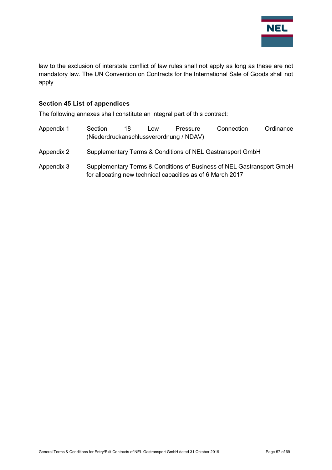

law to the exclusion of interstate conflict of law rules shall not apply as long as these are not mandatory law. The UN Convention on Contracts for the International Sale of Goods shall not apply.

#### <span id="page-56-0"></span>**Section 45 List of appendices**

The following annexes shall constitute an integral part of this contract:

| Appendix 1 | Section<br>(Niederdruckanschlussverordnung / NDAV)                                                                                  | 18 | Low | Pressure | Connection | Ordinance |
|------------|-------------------------------------------------------------------------------------------------------------------------------------|----|-----|----------|------------|-----------|
| Appendix 2 | Supplementary Terms & Conditions of NEL Gastransport GmbH                                                                           |    |     |          |            |           |
| Appendix 3 | Supplementary Terms & Conditions of Business of NEL Gastransport GmbH<br>for allocating new technical capacities as of 6 March 2017 |    |     |          |            |           |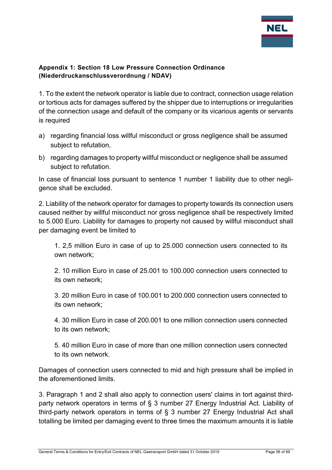

## <span id="page-57-0"></span>**Appendix 1: Section 18 Low Pressure Connection Ordinance (Niederdruckanschlussverordnung / NDAV)**

1. To the extent the network operator is liable due to contract, connection usage relation or tortious acts for damages suffered by the shipper due to interruptions or irregularities of the connection usage and default of the company or its vicarious agents or servants is required

- a) regarding financial loss willful misconduct or gross negligence shall be assumed subject to refutation,
- b) regarding damages to property willful misconduct or negligence shall be assumed subject to refutation.

In case of financial loss pursuant to sentence 1 number 1 liability due to other negligence shall be excluded.

2. Liability of the network operator for damages to property towards its connection users caused neither by willful misconduct nor gross negligence shall be respectively limited to 5.000 Euro. Liability for damages to property not caused by willful misconduct shall per damaging event be limited to

1. 2,5 million Euro in case of up to 25.000 connection users connected to its own network;

2. 10 million Euro in case of 25.001 to 100.000 connection users connected to its own network;

3. 20 million Euro in case of 100.001 to 200.000 connection users connected to its own network;

4. 30 million Euro in case of 200.001 to one million connection users connected to its own network;

5. 40 million Euro in case of more than one million connection users connected to its own network.

Damages of connection users connected to mid and high pressure shall be implied in the aforementioned limits.

3. Paragraph 1 and 2 shall also apply to connection users' claims in tort against thirdparty network operators in terms of § 3 number 27 Energy Industrial Act. Liability of third-party network operators in terms of § 3 number 27 Energy Industrial Act shall totalling be limited per damaging event to three times the maximum amounts it is liable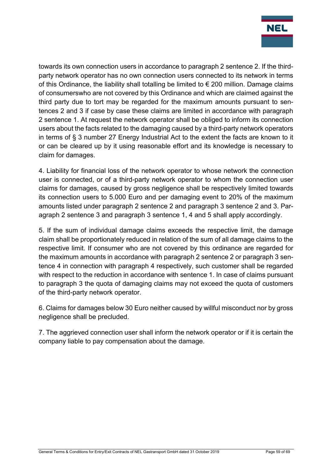

towards its own connection users in accordance to paragraph 2 sentence 2. If the thirdparty network operator has no own connection users connected to its network in terms of this Ordinance, the liability shall totalling be limited to  $\epsilon$  200 million. Damage claims of consumerswho are not covered by this Ordinance and which are claimed against the third party due to tort may be regarded for the maximum amounts pursuant to sentences 2 and 3 if case by case these claims are limited in accordance with paragraph 2 sentence 1. At request the network operator shall be obliged to inform its connection users about the facts related to the damaging caused by a third-party network operators in terms of § 3 number 27 Energy Industrial Act to the extent the facts are known to it or can be cleared up by it using reasonable effort and its knowledge is necessary to claim for damages.

4. Liability for financial loss of the network operator to whose network the connection user is connected, or of a third-party network operator to whom the connection user claims for damages, caused by gross negligence shall be respectively limited towards its connection users to 5.000 Euro and per damaging event to 20% of the maximum amounts listed under paragraph 2 sentence 2 and paragraph 3 sentence 2 and 3. Paragraph 2 sentence 3 and paragraph 3 sentence 1, 4 and 5 shall apply accordingly.

5. If the sum of individual damage claims exceeds the respective limit, the damage claim shall be proportionately reduced in relation of the sum of all damage claims to the respective limit. If consumer who are not covered by this ordinance are regarded for the maximum amounts in accordance with paragraph 2 sentence 2 or paragraph 3 sentence 4 in connection with paragraph 4 respectively, such customer shall be regarded with respect to the reduction in accordance with sentence 1. In case of claims pursuant to paragraph 3 the quota of damaging claims may not exceed the quota of customers of the third-party network operator.

6. Claims for damages below 30 Euro neither caused by willful misconduct nor by gross negligence shall be precluded.

7. The aggrieved connection user shall inform the network operator or if it is certain the company liable to pay compensation about the damage.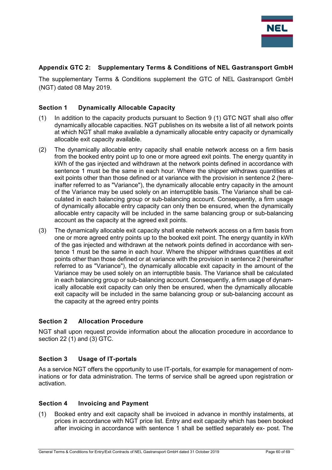

#### <span id="page-59-0"></span>**Appendix GTC 2: Supplementary Terms & Conditions of NEL Gastransport GmbH**

The supplementary Terms & Conditions supplement the GTC of NEL Gastransport GmbH (NGT) dated 08 May 2019.

#### <span id="page-59-1"></span>**Section 1 Dynamically Allocable Capacity**

- (1) In addition to the capacity products pursuant to Section 9 (1) GTC NGT shall also offer dynamically allocable capacities. NGT publishes on its website a list of all network points at which NGT shall make available a dynamically allocable entry capacity or dynamically allocable exit capacity available.
- (2) The dynamically allocable entry capacity shall enable network access on a firm basis from the booked entry point up to one or more agreed exit points. The energy quantity in kWh of the gas injected and withdrawn at the network points defined in accordance with sentence 1 must be the same in each hour. Where the shipper withdraws quantities at exit points other than those defined or at variance with the provision in sentence 2 (hereinafter referred to as "Variance"), the dynamically allocable entry capacity in the amount of the Variance may be used solely on an interruptible basis. The Variance shall be calculated in each balancing group or sub-balancing account. Consequently, a firm usage of dynamically allocable entry capacity can only then be ensured, when the dynamically allocable entry capacity will be included in the same balancing group or sub-balancing account as the capacity at the agreed exit points.
- (3) The dynamically allocable exit capacity shall enable network access on a firm basis from one or more agreed entry points up to the booked exit point. The energy quantity in kWh of the gas injected and withdrawn at the network points defined in accordance with sentence 1 must be the same in each hour. Where the shipper withdraws quantities at exit points other than those defined or at variance with the provision in sentence 2 (hereinafter referred to as "Variance"), the dynamically allocable exit capacity in the amount of the Variance may be used solely on an interruptible basis. The Variance shall be calculated in each balancing group or sub-balancing account. Consequently, a firm usage of dynamically allocable exit capacity can only then be ensured, when the dynamically allocable exit capacity will be included in the same balancing group or sub-balancing account as the capacity at the agreed entry points

#### <span id="page-59-2"></span>**Section 2 Allocation Procedure**

NGT shall upon request provide information about the allocation procedure in accordance to section 22 (1) and (3) GTC.

#### <span id="page-59-3"></span>**Section 3 Usage of IT-portals**

As a service NGT offers the opportunity to use IT-portals, for example for management of nominations or for data administration. The terms of service shall be agreed upon registration or activation.

#### <span id="page-59-4"></span>**Section 4 Invoicing and Payment**

(1) Booked entry and exit capacity shall be invoiced in advance in monthly instalments, at prices in accordance with NGT price list. Entry and exit capacity which has been booked after invoicing in accordance with sentence 1 shall be settled separately ex- post. The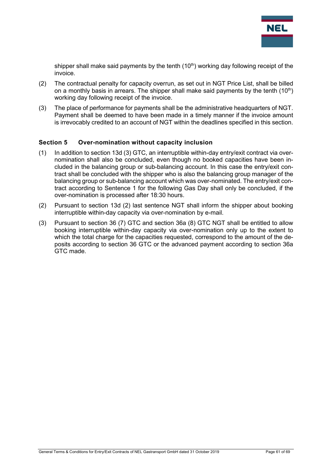

shipper shall make said payments by the tenth  $(10<sup>th</sup>)$  working day following receipt of the invoice.

- (2) The contractual penalty for capacity overrun, as set out in NGT Price List, shall be billed on a monthly basis in arrears. The shipper shall make said payments by the tenth  $(10<sup>th</sup>)$ working day following receipt of the invoice.
- (3) The place of performance for payments shall be the administrative headquarters of NGT. Payment shall be deemed to have been made in a timely manner if the invoice amount is irrevocably credited to an account of NGT within the deadlines specified in this section.

#### <span id="page-60-0"></span>**Section 5 Over-nomination without capacity inclusion**

- (1) In addition to section 13d (3) GTC, an interruptible within-day entry/exit contract via overnomination shall also be concluded, even though no booked capacities have been included in the balancing group or sub-balancing account. In this case the entry/exit contract shall be concluded with the shipper who is also the balancing group manager of the balancing group or sub-balancing account which was over-nominated. The entry/exit contract according to Sentence 1 for the following Gas Day shall only be concluded, if the over-nomination is processed after 18:30 hours.
- (2) Pursuant to section 13d (2) last sentence NGT shall inform the shipper about booking interruptible within-day capacity via over-nomination by e-mail.
- (3) Pursuant to section 36 (7) GTC and section 36a (8) GTC NGT shall be entitled to allow booking interruptible within-day capacity via over-nomination only up to the extent to which the total charge for the capacities requested, correspond to the amount of the deposits according to section 36 GTC or the advanced payment according to section 36a GTC made.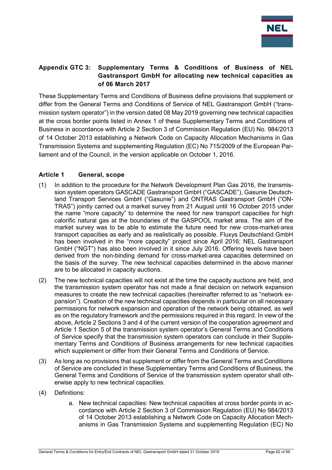

## <span id="page-61-0"></span>**Appendix GTC 3: Supplementary Terms & Conditions of Business of NEL Gastransport GmbH for allocating new technical capacities as of 06 March 2017**

These Supplementary Terms and Conditions of Business define provisions that supplement or differ from the General Terms and Conditions of Service of NEL Gastransport GmbH ("transmission system operator") in the version dated 08 May 2019 governing new technical capacities at the cross border points listed in Annex 1 of these Supplementary Terms and Conditions of Business in accordance with Article 2 Section 3 of Commission Regulation (EU) No. 984/2013 of 14 October 2013 establishing a Network Code on Capacity Allocation Mechanisms in Gas Transmission Systems and supplementing Regulation (EC) No 715/2009 of the European Parliament and of the Council, in the version applicable on October 1, 2016.

## <span id="page-61-1"></span>**Article 1 General, scope**

- (1) In addition to the procedure for the Network Development Plan Gas 2016, the transmission system operators GASCADE Gastransport GmbH ("GASCADE"), Gasunie Deutschland Transport Services GmbH ("Gasunie") and ONTRAS Gastransport GmbH ("ON-TRAS") jointly carried out a market survey from 21 August until 16 October 2015 under the name "more capacity" to determine the need for new transport capacities for high calorific natural gas at the boundaries of the GASPOOL market area. The aim of the market survey was to be able to estimate the future need for new cross-market-area transport capacities as early and as realistically as possible. Fluxys Deutschland GmbH has been involved in the "more capacity" project since April 2016; NEL Gastransport GmbH ("NGT") has also been involved in it since July 2016. Offering levels have been derived from the non-binding demand for cross-market-area capacities determined on the basis of the survey. The new technical capacities determined in the above manner are to be allocated in capacity auctions.
- (2) The new technical capacities will not exist at the time the capacity auctions are held, and the transmission system operator has not made a final decision on network expansion measures to create the new technical capacities (hereinafter referred to as "network expansion"). Creation of the new technical capacities depends in particular on all necessary permissions for network expansion and operation of the network being obtained, as well as on the regulatory framework and the permissions required in this regard. In view of the above, Article 2 Sections 3 and 4 of the current version of the cooperation agreement and Article 1 Section 5 of the transmission system operator's General Terms and Conditions of Service specify that the transmission system operators can conclude in their Supplementary Terms and Conditions of Business arrangements for new technical capacities which supplement or differ from their General Terms and Conditions of Service.
- (3) As long as no provisions that supplement or differ from the General Terms and Conditions of Service are concluded in these Supplementary Terms and Conditions of Business, the General Terms and Conditions of Service of the transmission system operator shall otherwise apply to new technical capacities.
- (4) Definitions:
	- a. New technical capacities: New technical capacities at cross border points in accordance with Article 2 Section 3 of Commission Regulation (EU) No 984/2013 of 14 October 2013 establishing a Network Code on Capacity Allocation Mechanisms in Gas Transmission Systems and supplementing Regulation (EC) No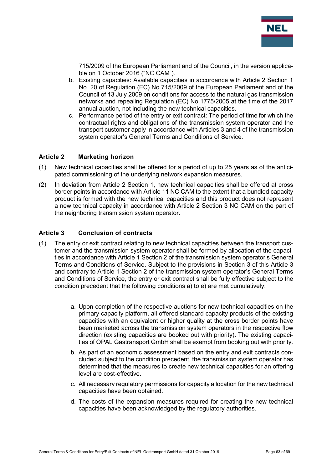

715/2009 of the European Parliament and of the Council, in the version applicable on 1 October 2016 ("NC CAM").

- b. Existing capacities: Available capacities in accordance with Article 2 Section 1 No. 20 of Regulation (EC) No 715/2009 of the European Parliament and of the Council of 13 July 2009 on conditions for access to the natural gas transmission networks and repealing Regulation (EC) No 1775/2005 at the time of the 2017 annual auction, not including the new technical capacities.
- c. Performance period of the entry or exit contract: The period of time for which the contractual rights and obligations of the transmission system operator and the transport customer apply in accordance with Articles 3 and 4 of the transmission system operator's General Terms and Conditions of Service.

#### <span id="page-62-0"></span>**Article 2 Marketing horizon**

- (1) New technical capacities shall be offered for a period of up to 25 years as of the anticipated commissioning of the underlying network expansion measures.
- (2) In deviation from Article 2 Section 1, new technical capacities shall be offered at cross border points in accordance with Article 11 NC CAM to the extent that a bundled capacity product is formed with the new technical capacities and this product does not represent a new technical capacity in accordance with Article 2 Section 3 NC CAM on the part of the neighboring transmission system operator.

#### <span id="page-62-1"></span>**Article 3 Conclusion of contracts**

- (1) The entry or exit contract relating to new technical capacities between the transport customer and the transmission system operator shall be formed by allocation of the capacities in accordance with Article 1 Section 2 of the transmission system operator's General Terms and Conditions of Service. Subject to the provisions in Section 3 of this Article 3 and contrary to Article 1 Section 2 of the transmission system operator's General Terms and Conditions of Service, the entry or exit contract shall be fully effective subject to the condition precedent that the following conditions a) to e) are met cumulatively:
	- a. Upon completion of the respective auctions for new technical capacities on the primary capacity platform, all offered standard capacity products of the existing capacities with an equivalent or higher quality at the cross border points have been marketed across the transmission system operators in the respective flow direction (existing capacities are booked out with priority). The existing capacities of OPAL Gastransport GmbH shall be exempt from booking out with priority.
	- b. As part of an economic assessment based on the entry and exit contracts concluded subject to the condition precedent, the transmission system operator has determined that the measures to create new technical capacities for an offering level are cost-effective.
	- c. All necessary regulatory permissions for capacity allocation for the new technical capacities have been obtained.
	- d. The costs of the expansion measures required for creating the new technical capacities have been acknowledged by the regulatory authorities.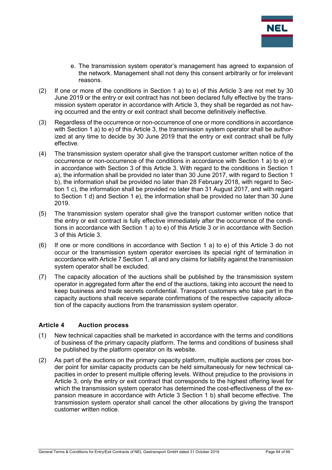

- e. The transmission system operator's management has agreed to expansion of the network. Management shall not deny this consent arbitrarily or for irrelevant reasons.
- (2) If one or more of the conditions in Section 1 a) to e) of this Article 3 are not met by 30 June 2019 or the entry or exit contract has not been declared fully effective by the transmission system operator in accordance with Article 3, they shall be regarded as not having occurred and the entry or exit contract shall become definitively ineffective.
- (3) Regardless of the occurrence or non-occurrence of one or more conditions in accordance with Section 1 a) to e) of this Article 3, the transmission system operator shall be authorized at any time to decide by 30 June 2019 that the entry or exit contract shall be fully effective.
- (4) The transmission system operator shall give the transport customer written notice of the occurrence or non-occurrence of the conditions in accordance with Section 1 a) to e) or in accordance with Section 3 of this Article 3. With regard to the conditions in Section 1 a), the information shall be provided no later than 30 June 2017, with regard to Section 1 b), the information shall be provided no later than 28 February 2018, with regard to Section 1 c), the information shall be provided no later than 31 August 2017, and with regard to Section 1 d) and Section 1 e), the information shall be provided no later than 30 June 2019.
- (5) The transmission system operator shall give the transport customer written notice that the entry or exit contract is fully effective immediately after the occurrence of the conditions in accordance with Section 1 a) to e) of this Article 3 or in accordance with Section 3 of this Article 3.
- (6) If one or more conditions in accordance with Section 1 a) to e) of this Article 3 do not occur or the transmission system operator exercises its special right of termination in accordance with Article 7 Section 1, all and any claims for liability against the transmission system operator shall be excluded.
- (7) The capacity allocation of the auctions shall be published by the transmission system operator in aggregated form after the end of the auctions, taking into account the need to keep business and trade secrets confidential. Transport customers who take part in the capacity auctions shall receive separate confirmations of the respective capacity allocation of the capacity auctions from the transmission system operator.

#### <span id="page-63-0"></span>**Article 4 Auction process**

- (1) New technical capacities shall be marketed in accordance with the terms and conditions of business of the primary capacity platform. The terms and conditions of business shall be published by the platform operator on its website.
- (2) As part of the auctions on the primary capacity platform, multiple auctions per cross border point for similar capacity products can be held simultaneously for new technical capacities in order to present multiple offering levels. Without prejudice to the provisions in Article 3, only the entry or exit contract that corresponds to the highest offering level for which the transmission system operator has determined the cost-effectiveness of the expansion measure in accordance with Article 3 Section 1 b) shall become effective. The transmission system operator shall cancel the other allocations by giving the transport customer written notice.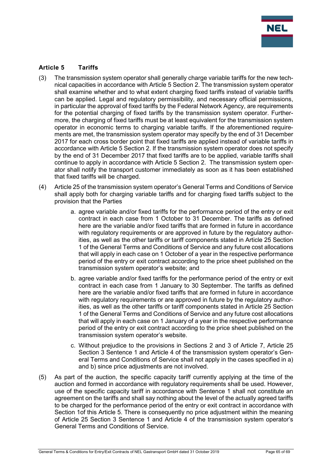

#### <span id="page-64-0"></span>**Article 5 Tariffs**

- (3) The transmission system operator shall generally charge variable tariffs for the new technical capacities in accordance with Article 5 Section 2. The transmission system operator shall examine whether and to what extent charging fixed tariffs instead of variable tariffs can be applied. Legal and regulatory permissibility, and necessary official permissions, in particular the approval of fixed tariffs by the Federal Network Agency, are requirements for the potential charging of fixed tariffs by the transmission system operator. Furthermore, the charging of fixed tariffs must be at least equivalent for the transmission system operator in economic terms to charging variable tariffs. If the aforementioned requirements are met, the transmission system operator may specify by the end of 31 December 2017 for each cross border point that fixed tariffs are applied instead of variable tariffs in accordance with Article 5 Section 2. If the transmission system operator does not specify by the end of 31 December 2017 that fixed tariffs are to be applied, variable tariffs shall continue to apply in accordance with Article 5 Section 2. The transmission system operator shall notify the transport customer immediately as soon as it has been established that fixed tariffs will be charged.
- (4) Article 25 of the transmission system operator's General Terms and Conditions of Service shall apply both for charging variable tariffs and for charging fixed tariffs subject to the provision that the Parties
	- a. agree variable and/or fixed tariffs for the performance period of the entry or exit contract in each case from 1 October to 31 December. The tariffs as defined here are the variable and/or fixed tariffs that are formed in future in accordance with regulatory requirements or are approved in future by the regulatory authorities, as well as the other tariffs or tariff components stated in Article 25 Section 1 of the General Terms and Conditions of Service and any future cost allocations that will apply in each case on 1 October of a year in the respective performance period of the entry or exit contract according to the price sheet published on the transmission system operator's website; and
	- b. agree variable and/or fixed tariffs for the performance period of the entry or exit contract in each case from 1 January to 30 September. The tariffs as defined here are the variable and/or fixed tariffs that are formed in future in accordance with regulatory requirements or are approved in future by the regulatory authorities, as well as the other tariffs or tariff components stated in Article 25 Section 1 of the General Terms and Conditions of Service and any future cost allocations that will apply in each case on 1 January of a year in the respective performance period of the entry or exit contract according to the price sheet published on the transmission system operator's website.
	- c. Without prejudice to the provisions in Sections 2 and 3 of Article 7, Article 25 Section 3 Sentence 1 and Article 4 of the transmission system operator's General Terms and Conditions of Service shall not apply in the cases specified in a) and b) since price adjustments are not involved.
- (5) As part of the auction, the specific capacity tariff currently applying at the time of the auction and formed in accordance with regulatory requirements shall be used. However, use of the specific capacity tariff in accordance with Sentence 1 shall not constitute an agreement on the tariffs and shall say nothing about the level of the actually agreed tariffs to be charged for the performance period of the entry or exit contract in accordance with Section 1of this Article 5. There is consequently no price adjustment within the meaning of Article 25 Section 3 Sentence 1 and Article 4 of the transmission system operator's General Terms and Conditions of Service.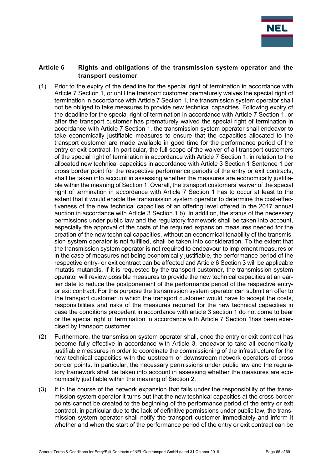

#### <span id="page-65-0"></span>**Article 6 Rights and obligations of the transmission system operator and the transport customer**

- (1) Prior to the expiry of the deadline for the special right of termination in accordance with Article 7 Section 1, or until the transport customer prematurely waives the special right of termination in accordance with Article 7 Section 1, the transmission system operator shall not be obliged to take measures to provide new technical capacities. Following expiry of the deadline for the special right of termination in accordance with Article 7 Section 1, or after the transport customer has prematurely waived the special right of termination in accordance with Article 7 Section 1, the transmission system operator shall endeavor to take economically justifiable measures to ensure that the capacities allocated to the transport customer are made available in good time for the performance period of the entry or exit contract. In particular, the full scope of the waiver of all transport customers of the special right of termination in accordance with Article 7 Section 1, in relation to the allocated new technical capacities in accordance with Article 3 Section 1 Sentence 1 per cross border point for the respective performance periods of the entry or exit contracts, shall be taken into account in assessing whether the measures are economically justifiable within the meaning of Section 1. Overall, the transport customers' waiver of the special right of termination in accordance with Article 7 Section 1 has to occur at least to the extent that it would enable the transmission system operator to determine the cost-effectiveness of the new technical capacities of an offering level offered in the 2017 annual auction in accordance with Article 3 Section 1 b). In addition, the status of the necessary permissions under public law and the regulatory framework shall be taken into account, especially the approval of the costs of the required expansion measures needed for the creation of the new technical capacities, without an economical tenability of the transmission system operator is not fulfilled, shall be taken into consideration. To the extent that the transmission system operator is not required to endeavour to implement measures or in the case of measures not being economically justifiable, the performance period of the respective entry- or exit contract can be affected and Article 6 Section 3 will be applicable mutatis mutandis. If it is requested by the transport customer, the transmission system operator will review possible measures to provide the new technical capacities at an earlier date to reduce the postponement of the performance period of the respective entryor exit contract. For this purpose the transmission system operator can submit an offer to the transport customer in which the transport customer would have to accept the costs, responsibilities and risks of the measures required for the new technical capacities in case the conditions precedent in accordance with article 3 section 1 do not come to bear or the special right of termination in accordance with Article 7 Section 1has been exercised by transport customer.
- (2) Furthermore, the transmission system operator shall, once the entry or exit contract has become fully effective in accordance with Article 3, endeavor to take all economically justifiable measures in order to coordinate the commissioning of the infrastructure for the new technical capacities with the upstream or downstream network operators at cross border points. In particular, the necessary permissions under public law and the regulatory framework shall be taken into account in assessing whether the measures are economically justifiable within the meaning of Section 2.
- (3) If in the course of the network expansion that falls under the responsibility of the transmission system operator it turns out that the new technical capacities at the cross border points cannot be created to the beginning of the performance period of the entry or exit contract, in particular due to the lack of definitive permissions under public law, the transmission system operator shall notify the transport customer immediately and inform it whether and when the start of the performance period of the entry or exit contract can be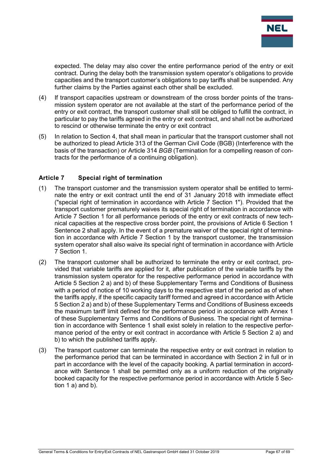

expected. The delay may also cover the entire performance period of the entry or exit contract. During the delay both the transmission system operator's obligations to provide capacities and the transport customer's obligations to pay tariffs shall be suspended. Any further claims by the Parties against each other shall be excluded.

- (4) If transport capacities upstream or downstream of the cross border points of the transmission system operator are not available at the start of the performance period of the entry or exit contract, the transport customer shall still be obliged to fulfill the contract, in particular to pay the tariffs agreed in the entry or exit contract, and shall not be authorized to rescind or otherwise terminate the entry or exit contract
- (5) In relation to Section 4, that shall mean in particular that the transport customer shall not be authorized to plead Article 313 of the German Civil Code (BGB) (Interference with the basis of the transaction) or Article 314 *BGB* (Termination for a compelling reason of contracts for the performance of a continuing obligation).

#### <span id="page-66-0"></span>**Article 7 Special right of termination**

- (1) The transport customer and the transmission system operator shall be entitled to terminate the entry or exit contract until the end of 31 January 2018 with immediate effect ("special right of termination in accordance with Article 7 Section 1"). Provided that the transport customer prematurely waives its special right of termination in accordance with Article 7 Section 1 for all performance periods of the entry or exit contracts of new technical capacities at the respective cross border point, the provisions of Article 6 Section 1 Sentence 2 shall apply. In the event of a premature waiver of the special right of termination in accordance with Article 7 Section 1 by the transport customer, the transmission system operator shall also waive its special right of termination in accordance with Article 7 Section 1.
- (2) The transport customer shall be authorized to terminate the entry or exit contract, provided that variable tariffs are applied for it, after publication of the variable tariffs by the transmission system operator for the respective performance period in accordance with Article 5 Section 2 a) and b) of these Supplementary Terms and Conditions of Business with a period of notice of 10 working days to the respective start of the period as of when the tariffs apply, if the specific capacity tariff formed and agreed in accordance with Article 5 Section 2 a) and b) of these Supplementary Terms and Conditions of Business exceeds the maximum tariff limit defined for the performance period in accordance with Annex 1 of these Supplementary Terms and Conditions of Business. The special right of termination in accordance with Sentence 1 shall exist solely in relation to the respective performance period of the entry or exit contract in accordance with Article 5 Section 2 a) and b) to which the published tariffs apply.
- (3) The transport customer can terminate the respective entry or exit contract in relation to the performance period that can be terminated in accordance with Section 2 in full or in part in accordance with the level of the capacity booking. A partial termination in accordance with Sentence 1 shall be permitted only as a uniform reduction of the originally booked capacity for the respective performance period in accordance with Article 5 Section 1 a) and b).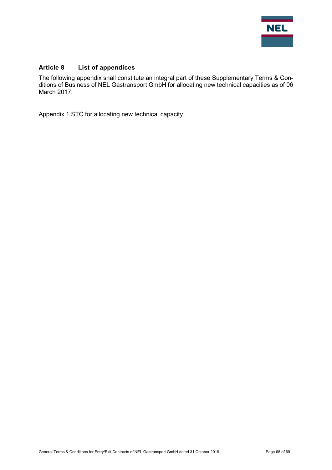

## <span id="page-67-0"></span>**Article 8 List of appendices**

The following appendix shall constitute an integral part of these Supplementary Terms & Conditions of Business of NEL Gastransport GmbH for allocating new technical capacities as of 06 March 2017:

Appendix 1 STC for allocating new technical capacity